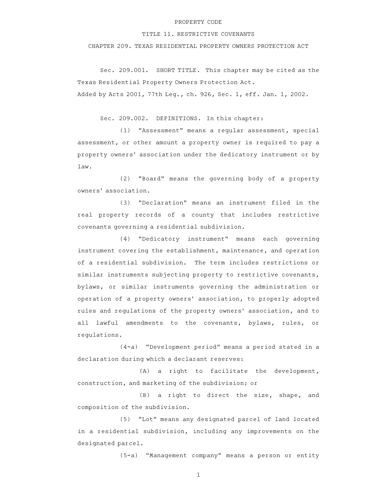## PROPERTY CODE

## TITLE 11. RESTRICTIVE COVENANTS

CHAPTER 209. TEXAS RESIDENTIAL PROPERTY OWNERS PROTECTION ACT

Sec. 209.001. SHORT TITLE. This chapter may be cited as the Texas Residential Property Owners Protection Act. Added by Acts 2001, 77th Leg., ch. 926, Sec. 1, eff. Jan. 1, 2002.

Sec. 209.002. DEFINITIONS. In this chapter:

(1) "Assessment" means a regular assessment, special assessment, or other amount a property owner is required to pay a property owners' association under the dedicatory instrument or by law.

(2) "Board" means the governing body of a property owners' association.

(3) "Declaration" means an instrument filed in the real property records of a county that includes restrictive covenants governing a residential subdivision.

(4) "Dedicatory instrument" means each governing instrument covering the establishment, maintenance, and operation of a residential subdivision. The term includes restrictions or similar instruments subjecting property to restrictive covenants, bylaws, or similar instruments governing the administration or operation of a property owners' association, to properly adopted rules and regulations of the property owners' association, and to all lawful amendments to the covenants, bylaws, rules, or regulations.

 $(4-a)$  "Development period" means a period stated in a declaration during which a declarant reserves:

 $(A)$  a right to facilitate the development, construction, and marketing of the subdivision; or

(B) a right to direct the size, shape, and composition of the subdivision.

(5) "Lot" means any designated parcel of land located in a residential subdivision, including any improvements on the designated parcel.

(5-a) "Management company" means a person or entity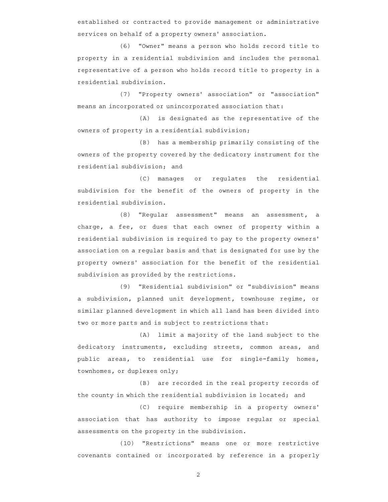established or contracted to provide management or administrative services on behalf of a property owners' association.

(6) "Owner" means a person who holds record title to property in a residential subdivision and includes the personal representative of a person who holds record title to property in a residential subdivision.

(7) "Property owners' association" or "association" means an incorporated or unincorporated association that:

 $(A)$  is designated as the representative of the owners of property in a residential subdivision;

(B) has a membership primarily consisting of the owners of the property covered by the dedicatory instrument for the residential subdivision; and

(C) manages or regulates the residential subdivision for the benefit of the owners of property in the residential subdivision.

(8) "Regular assessment" means an assessment, a charge, a fee, or dues that each owner of property within a residential subdivision is required to pay to the property owners ' association on a regular basis and that is designated for use by the property owners' association for the benefit of the residential subdivision as provided by the restrictions.

(9) "Residential subdivision" or "subdivision" means a subdivision, planned unit development, townhouse regime, or similar planned development in which all land has been divided into two or more parts and is subject to restrictions that:

(A) limit a majority of the land subject to the dedicatory instruments, excluding streets, common areas, and public areas, to residential use for single-family homes, townhomes, or duplexes only;

(B) are recorded in the real property records of the county in which the residential subdivision is located; and

(C) require membership in a property owners' association that has authority to impose regular or special assessments on the property in the subdivision.

(10) "Restrictions" means one or more restrictive covenants contained or incorporated by reference in a properly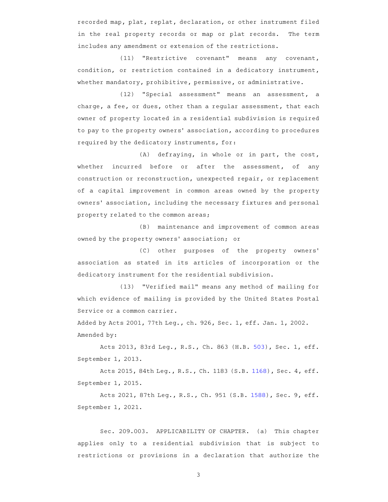recorded map, plat, replat, declaration, or other instrument filed in the real property records or map or plat records. The term includes any amendment or extension of the restrictions.

(11) "Restrictive covenant" means any covenant, condition, or restriction contained in a dedicatory instrument, whether mandatory, prohibitive, permissive, or administrative.

(12) "Special assessment" means an assessment, a charge, a fee, or dues, other than a regular assessment, that each owner of property located in a residential subdivision is required to pay to the property owners' association, according to procedures required by the dedicatory instruments, for:

 $(A)$  defraying, in whole or in part, the cost, whether incurred before or after the assessment, of any construction or reconstruction, unexpected repair, or replacement of a capital improvement in common areas owned by the property owners' association, including the necessary fixtures and personal property related to the common areas;

(B) maintenance and improvement of common areas owned by the property owners' association; or

(C) other purposes of the property owners' association as stated in its articles of incorporation or the dedicatory instrument for the residential subdivision.

(13) "Verified mail" means any method of mailing for which evidence of mailing is provided by the United States Postal Service or a common carrier.

Added by Acts 2001, 77th Leg., ch. 926, Sec. 1, eff. Jan. 1, 2002. Amended by:

Acts 2013, 83rd Leg., R.S., Ch. 863 (H.B. 503), Sec. 1, eff. September 1, 2013.

Acts 2015, 84th Leg., R.S., Ch. 1183 (S.B. 1168), Sec. 4, eff. September 1, 2015.

Acts 2021, 87th Leg., R.S., Ch. 951 (S.B. 1588), Sec. 9, eff. September 1, 2021.

Sec. 209.003. APPLICABILITY OF CHAPTER. (a) This chapter applies only to a residential subdivision that is subject to restrictions or provisions in a declaration that authorize the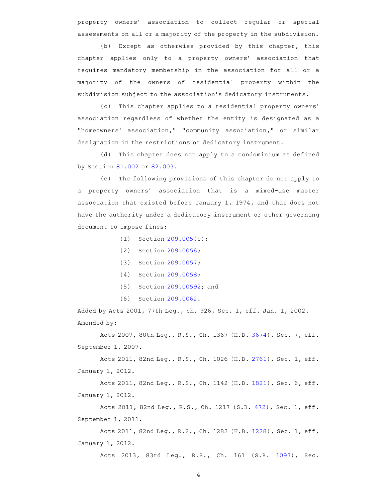property owners' association to collect regular or special assessments on all or a majority of the property in the subdivision.

 $(b)$  Except as otherwise provided by this chapter, this chapter applies only to a property owners' association that requires mandatory membership in the association for all or a majority of the owners of residential property within the subdivision subject to the association 's dedicatory instruments.

(c) This chapter applies to a residential property owners' association regardless of whether the entity is designated as a "homeowners' association," "community association," or similar designation in the restrictions or dedicatory instrument.

(d) This chapter does not apply to a condominium as defined by Section 81.002 or 82.003.

(e) The following provisions of this chapter do not apply to a property owners' association that is a mixed-use master association that existed before January 1, 1974, and that does not have the authority under a dedicatory instrument or other governing document to impose fines:

- (1) Section  $209.005(c)$ ;
- (2) Section 209.0056;
- $(3)$  Section 209.0057;
- (4) Section 209.0058;
- $(5)$  Section 209.00592; and
- (6) Section 209.0062.

Added by Acts 2001, 77th Leg., ch. 926, Sec. 1, eff. Jan. 1, 2002. Amended by:

Acts 2007, 80th Leg., R.S., Ch. 1367 (H.B. 3674), Sec. 7, eff. September 1, 2007.

Acts 2011, 82nd Leg., R.S., Ch. 1026 (H.B. 2761), Sec. 1, eff. January 1, 2012.

Acts 2011, 82nd Leg., R.S., Ch. 1142 (H.B. 1821), Sec. 6, eff. January 1, 2012.

Acts 2011, 82nd Leg., R.S., Ch. 1217 (S.B. 472), Sec. 1, eff. September 1, 2011.

Acts 2011, 82nd Leg., R.S., Ch. 1282 (H.B. 1228), Sec. 1, eff. January 1, 2012.

Acts 2013, 83rd Leg., R.S., Ch. 161 (S.B. 1093), Sec.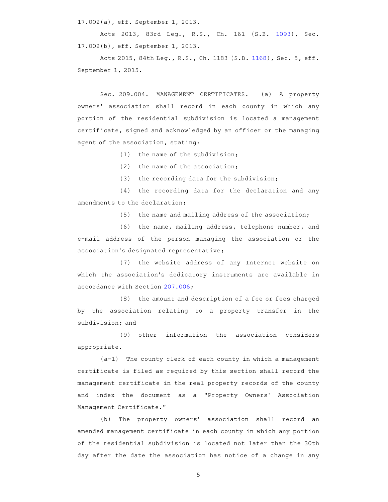17.002(a), eff. September 1, 2013.

Acts 2013, 83rd Leg., R.S., Ch. 161 (S.B. 1093), Sec. 17.002(b), eff. September 1, 2013.

Acts 2015, 84th Leg., R.S., Ch. 1183 (S.B. 1168), Sec. 5, eff. September 1, 2015.

Sec. 209.004. MANAGEMENT CERTIFICATES. (a) A property owners' association shall record in each county in which any portion of the residential subdivision is located a management certificate, signed and acknowledged by an officer or the managing agent of the association, stating:

(1) the name of the subdivision;

 $(2)$  the name of the association;

(3) the recording data for the subdivision;

(4) the recording data for the declaration and any amendments to the declaration;

(5) the name and mailing address of the association;

(6) the name, mailing address, telephone number, and e-mail address of the person managing the association or the association 's designated representative;

(7) the website address of any Internet website on which the association's dedicatory instruments are available in accordance with Section 207.006;

(8) the amount and description of a fee or fees charged by the association relating to a property transfer in the subdivision; and

(9) other information the association considers appropriate.

 $(a-1)$  The county clerk of each county in which a management certificate is filed as required by this section shall record the management certificate in the real property records of the county and index the document as a "Property Owners' Association Management Certificate."

(b) The property owners' association shall record an amended management certificate in each county in which any portion of the residential subdivision is located not later than the 30th day after the date the association has notice of a change in any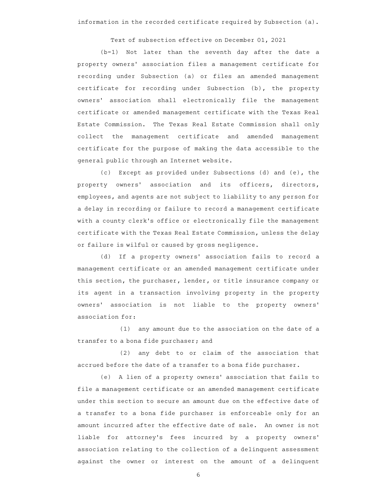Text of subsection effective on December 01, 2021

(b-1) Not later than the seventh day after the date a property owners' association files a management certificate for recording under Subsection (a) or files an amended management certificate for recording under Subsection (b), the property owners' association shall electronically file the management certificate or amended management certificate with the Texas Real Estate Commission. The Texas Real Estate Commission shall only collect the management certificate and amended management certificate for the purpose of making the data accessible to the general public through an Internet website.

(c) Except as provided under Subsections (d) and (e), the property owners' association and its officers, directors, employees, and agents are not subject to liability to any person for a delay in recording or failure to record a management certificate with a county clerk's office or electronically file the management certificate with the Texas Real Estate Commission, unless the delay or failure is wilful or caused by gross negligence.

(d) If a property owners' association fails to record a management certificate or an amended management certificate under this section, the purchaser, lender, or title insurance company or its agent in a transaction involving property in the property owners' association is not liable to the property owners' association for:

 $(1)$  any amount due to the association on the date of a transfer to a bona fide purchaser; and

 $(2)$  any debt to or claim of the association that accrued before the date of a transfer to a bona fide purchaser.

(e) A lien of a property owners' association that fails to file a management certificate or an amended management certificate under this section to secure an amount due on the effective date of a transfer to a bona fide purchaser is enforceable only for an amount incurred after the effective date of sale. An owner is not liable for attorney's fees incurred by a property owners' association relating to the collection of a delinquent assessment against the owner or interest on the amount of a delinquent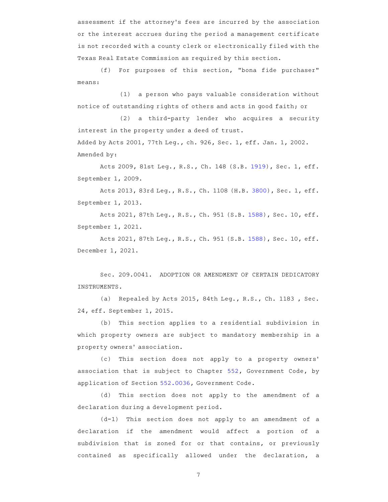assessment if the attorney 's fees are incurred by the association or the interest accrues during the period a management certificate is not recorded with a county clerk or electronically filed with the Texas Real Estate Commission as required by this section.

(f) For purposes of this section, "bona fide purchaser" means:

 $(1)$  a person who pays valuable consideration without notice of outstanding rights of others and acts in good faith; or

(2) a third-party lender who acquires a security interest in the property under a deed of trust.

Added by Acts 2001, 77th Leg., ch. 926, Sec. 1, eff. Jan. 1, 2002. Amended by:

Acts 2009, 81st Leg., R.S., Ch. 148 (S.B. 1919), Sec. 1, eff. September 1, 2009.

Acts 2013, 83rd Leg., R.S., Ch. 1108 (H.B. 3800), Sec. 1, eff. September 1, 2013.

Acts 2021, 87th Leg., R.S., Ch. 951 (S.B. 1588), Sec. 10, eff. September 1, 2021.

Acts 2021, 87th Leg., R.S., Ch. 951 (S.B. 1588), Sec. 10, eff. December 1, 2021.

Sec. 209.0041. ADOPTION OR AMENDMENT OF CERTAIN DEDICATORY INSTRUMENTS.

(a) Repealed by Acts 2015, 84th Leg., R.S., Ch. 1183, Sec. 24, eff. September 1, 2015.

(b) This section applies to a residential subdivision in which property owners are subject to mandatory membership in a property owners' association.

(c) This section does not apply to a property owners' association that is subject to Chapter 552, Government Code, by application of Section 552.0036, Government Code.

(d) This section does not apply to the amendment of a declaration during a development period.

 $(d-1)$  This section does not apply to an amendment of a declaration if the amendment would affect a portion of a subdivision that is zoned for or that contains, or previously contained as specifically allowed under the declaration, a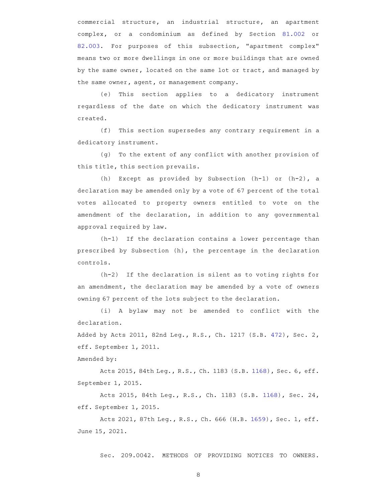commercial structure, an industrial structure, an apartment complex, or a condominium as defined by Section 81.002 or 82.003. For purposes of this subsection, "apartment complex" means two or more dwellings in one or more buildings that are owned by the same owner, located on the same lot or tract, and managed by the same owner, agent, or management company.

(e) This section applies to a dedicatory instrument regardless of the date on which the dedicatory instrument was created.

(f) This section supersedes any contrary requirement in a dedicatory instrument.

 $(q)$  To the extent of any conflict with another provision of this title, this section prevails.

(h) Except as provided by Subsection  $(h-1)$  or  $(h-2)$ , a declaration may be amended only by a vote of 67 percent of the total votes allocated to property owners entitled to vote on the amendment of the declaration, in addition to any governmental approval required by law.

 $(h-1)$  If the declaration contains a lower percentage than prescribed by Subsection (h), the percentage in the declaration controls.

 $(h-2)$  If the declaration is silent as to voting rights for an amendment, the declaration may be amended by a vote of owners owning 67 percent of the lots subject to the declaration.

(i)AAA bylaw may not be amended to conflict with the declaration.

Added by Acts 2011, 82nd Leg., R.S., Ch. 1217 (S.B. 472), Sec. 2, eff. September 1, 2011.

Amended by:

Acts 2015, 84th Leg., R.S., Ch. 1183 (S.B. 1168), Sec. 6, eff. September 1, 2015.

Acts 2015, 84th Leg., R.S., Ch. 1183 (S.B. 1168), Sec. 24, eff. September 1, 2015.

Acts 2021, 87th Leg., R.S., Ch. 666 (H.B. 1659), Sec. 1, eff. June 15, 2021.

Sec. 209.0042. METHODS OF PROVIDING NOTICES TO OWNERS.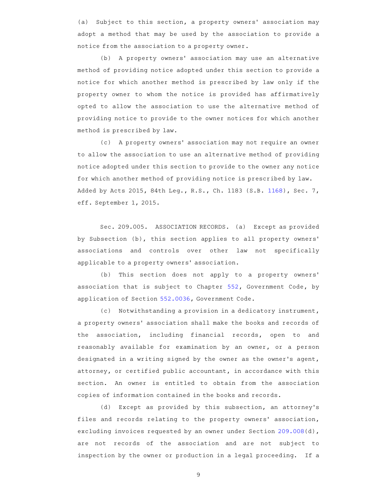(a) Subject to this section, a property owners' association may adopt a method that may be used by the association to provide a notice from the association to a property owner.

(b) A property owners' association may use an alternative method of providing notice adopted under this section to provide a notice for which another method is prescribed by law only if the property owner to whom the notice is provided has affirmatively opted to allow the association to use the alternative method of providing notice to provide to the owner notices for which another method is prescribed by law.

(c) A property owners' association may not require an owner to allow the association to use an alternative method of providing notice adopted under this section to provide to the owner any notice for which another method of providing notice is prescribed by law. Added by Acts 2015, 84th Leg., R.S., Ch. 1183 (S.B. 1168), Sec. 7, eff. September 1, 2015.

Sec. 209.005. ASSOCIATION RECORDS. (a) Except as provided by Subsection (b), this section applies to all property owners' associations and controls over other law not specifically applicable to a property owners' association.

(b) This section does not apply to a property owners' association that is subject to Chapter 552, Government Code, by application of Section 552.0036, Government Code.

(c) Notwithstanding a provision in a dedicatory instrument, a property owners' association shall make the books and records of the association, including financial records, open to and reasonably available for examination by an owner, or a person designated in a writing signed by the owner as the owner's agent, attorney, or certified public accountant, in accordance with this section. An owner is entitled to obtain from the association copies of information contained in the books and records.

(d) Except as provided by this subsection, an attorney's files and records relating to the property owners' association, excluding invoices requested by an owner under Section 209.008(d), are not records of the association and are not subject to inspection by the owner or production in a legal proceeding. If a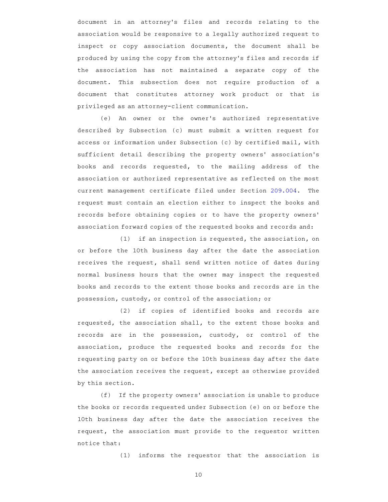document in an attorney's files and records relating to the association would be responsive to a legally authorized request to inspect or copy association documents, the document shall be produced by using the copy from the attorney 's files and records if the association has not maintained a separate copy of the document. This subsection does not require production of a document that constitutes attorney work product or that is privileged as an attorney-client communication.

(e) An owner or the owner's authorized representative described by Subsection (c) must submit a written request for access or information under Subsection (c) by certified mail, with sufficient detail describing the property owners' association's books and records requested, to the mailing address of the association or authorized representative as reflected on the most current management certificate filed under Section 209.004. The request must contain an election either to inspect the books and records before obtaining copies or to have the property owners ' association forward copies of the requested books and records and:

 $(1)$  if an inspection is requested, the association, on or before the 10th business day after the date the association receives the request, shall send written notice of dates during normal business hours that the owner may inspect the requested books and records to the extent those books and records are in the possession, custody, or control of the association; or

(2) if copies of identified books and records are requested, the association shall, to the extent those books and records are in the possession, custody, or control of the association, produce the requested books and records for the requesting party on or before the 10th business day after the date the association receives the request, except as otherwise provided by this section.

(f) If the property owners' association is unable to produce the books or records requested under Subsection (e) on or before the 10th business day after the date the association receives the request, the association must provide to the requestor written notice that:

 $(1)$  informs the requestor that the association is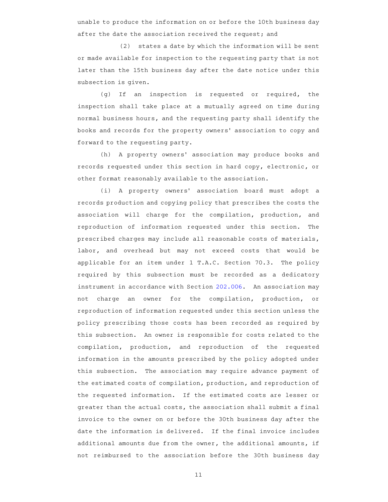unable to produce the information on or before the 10th business day after the date the association received the request; and

(2) states a date by which the information will be sent or made available for inspection to the requesting party that is not later than the 15th business day after the date notice under this subsection is given.

 $(q)$  If an inspection is requested or required, the inspection shall take place at a mutually agreed on time during normal business hours, and the requesting party shall identify the books and records for the property owners' association to copy and forward to the requesting party.

(h) A property owners' association may produce books and records requested under this section in hard copy, electronic, or other format reasonably available to the association.

(i) A property owners' association board must adopt a records production and copying policy that prescribes the costs the association will charge for the compilation, production, and reproduction of information requested under this section. The prescribed charges may include all reasonable costs of materials, labor, and overhead but may not exceed costs that would be applicable for an item under  $1$  T.A.C. Section 70.3. The policy required by this subsection must be recorded as a dedicatory instrument in accordance with Section 202.006. An association may not charge an owner for the compilation, production, or reproduction of information requested under this section unless the policy prescribing those costs has been recorded as required by this subsection. An owner is responsible for costs related to the compilation, production, and reproduction of the requested information in the amounts prescribed by the policy adopted under this subsection. The association may require advance payment of the estimated costs of compilation, production, and reproduction of the requested information. If the estimated costs are lesser or greater than the actual costs, the association shall submit a final invoice to the owner on or before the 30th business day after the date the information is delivered. If the final invoice includes additional amounts due from the owner, the additional amounts, if not reimbursed to the association before the 30th business day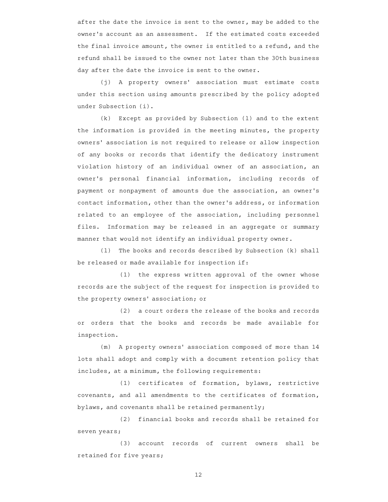after the date the invoice is sent to the owner, may be added to the owner's account as an assessment. If the estimated costs exceeded the final invoice amount, the owner is entitled to a refund, and the refund shall be issued to the owner not later than the 30th business day after the date the invoice is sent to the owner.

(j) A property owners' association must estimate costs under this section using amounts prescribed by the policy adopted under Subsection (i).

 $(k)$  Except as provided by Subsection (1) and to the extent the information is provided in the meeting minutes, the property owners' association is not required to release or allow inspection of any books or records that identify the dedicatory instrument violation history of an individual owner of an association, an owner 's personal financial information, including records of payment or nonpayment of amounts due the association, an owner 's contact information, other than the owner 's address, or information related to an employee of the association, including personnel files. Information may be released in an aggregate or summary manner that would not identify an individual property owner.

(1) The books and records described by Subsection (k) shall be released or made available for inspection if:

 $(1)$  the express written approval of the owner whose records are the subject of the request for inspection is provided to the property owners' association; or

(2) a court orders the release of the books and records or orders that the books and records be made available for inspection.

(m) A property owners' association composed of more than 14 lots shall adopt and comply with a document retention policy that includes, at a minimum, the following requirements:

(1) certificates of formation, bylaws, restrictive covenants, and all amendments to the certificates of formation, bylaws, and covenants shall be retained permanently;

(2) financial books and records shall be retained for seven years;

(3) account records of current owners shall be retained for five years;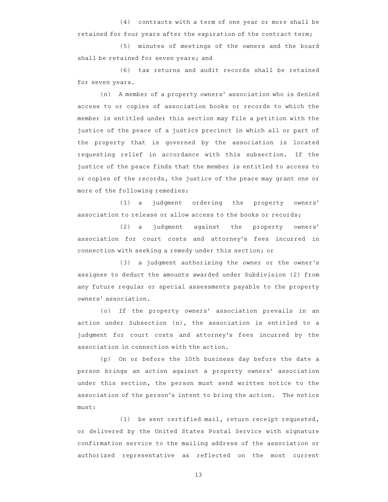$(4)$  contracts with a term of one year or more shall be retained for four years after the expiration of the contract term;

(5) minutes of meetings of the owners and the board shall be retained for seven years; and

(6) tax returns and audit records shall be retained for seven years.

(n) A member of a property owners' association who is denied access to or copies of association books or records to which the member is entitled under this section may file a petition with the justice of the peace of a justice precinct in which all or part of the property that is governed by the association is located requesting relief in accordance with this subsection. If the justice of the peace finds that the member is entitled to access to or copies of the records, the justice of the peace may grant one or more of the following remedies:

(1) a judgment ordering the property owners' association to release or allow access to the books or records;

(2) a judgment against the property owners' association for court costs and attorney 's fees incurred in connection with seeking a remedy under this section; or

(3) a judgment authorizing the owner or the owner's assignee to deduct the amounts awarded under Subdivision (2) from any future regular or special assessments payable to the property owners' association.

(o) If the property owners' association prevails in an action under Subsection (n), the association is entitled to a judgment for court costs and attorney's fees incurred by the association in connection with the action.

(p) On or before the 10th business day before the date a person brings an action against a property owners' association under this section, the person must send written notice to the association of the person's intent to bring the action. The notice must:

(1) be sent certified mail, return receipt requested, or delivered by the United States Postal Service with signature confirmation service to the mailing address of the association or authorized representative as reflected on the most current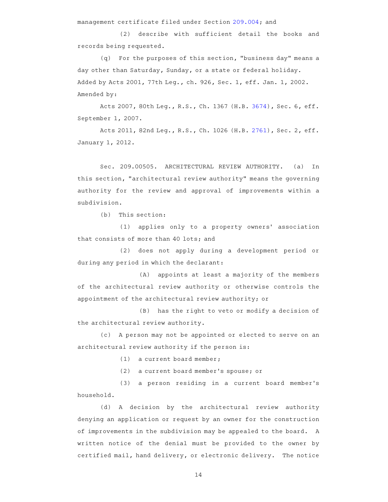management certificate filed under Section 209.004; and

(2) describe with sufficient detail the books and records being requested.

 $(q)$  For the purposes of this section, "business day" means a day other than Saturday, Sunday, or a state or federal holiday. Added by Acts 2001, 77th Leg., ch. 926, Sec. 1, eff. Jan. 1, 2002. Amended by:

Acts 2007, 80th Leg., R.S., Ch. 1367 (H.B. 3674), Sec. 6, eff. September 1, 2007.

Acts 2011, 82nd Leg., R.S., Ch. 1026 (H.B. 2761), Sec. 2, eff. January 1, 2012.

Sec. 209.00505. ARCHITECTURAL REVIEW AUTHORITY. (a) In this section, "architectural review authority" means the governing authority for the review and approval of improvements within a subdivision.

 $(b)$  This section:

(1) applies only to a property owners' association that consists of more than 40 lots; and

(2) does not apply during a development period or during any period in which the declarant:

(A) appoints at least a majority of the members of the architectural review authority or otherwise controls the appointment of the architectural review authority; or

(B) has the right to veto or modify a decision of the architectural review authority.

(c) A person may not be appointed or elected to serve on an architectural review authority if the person is:

(1) a current board member;

(2) a current board member's spouse; or

(3) a person residing in a current board member's household.

(d)AAA decision by the architectural review authority denying an application or request by an owner for the construction of improvements in the subdivision may be appealed to the board. A written notice of the denial must be provided to the owner by certified mail, hand delivery, or electronic delivery. The notice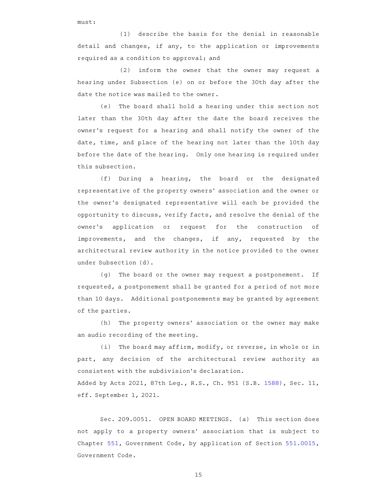must:

 $(1)$  describe the basis for the denial in reasonable detail and changes, if any, to the application or improvements required as a condition to approval; and

(2) inform the owner that the owner may request a hearing under Subsection (e) on or before the 30th day after the date the notice was mailed to the owner.

(e) The board shall hold a hearing under this section not later than the 30th day after the date the board receives the owner 's request for a hearing and shall notify the owner of the date, time, and place of the hearing not later than the 10th day before the date of the hearing. Only one hearing is required under this subsection.

(f) During a hearing, the board or the designated representative of the property owners' association and the owner or the owner 's designated representative will each be provided the opportunity to discuss, verify facts, and resolve the denial of the owner 's application or request for the construction of improvements, and the changes, if any, requested by the architectural review authority in the notice provided to the owner under Subsection (d).

(g) The board or the owner may request a postponement. If requested, a postponement shall be granted for a period of not more than 10 days. Additional postponements may be granted by agreement of the parties.

(h) The property owners' association or the owner may make an audio recording of the meeting.

(i) The board may affirm, modify, or reverse, in whole or in part, any decision of the architectural review authority as consistent with the subdivision 's declaration.

Added by Acts 2021, 87th Leg., R.S., Ch. 951 (S.B. 1588), Sec. 11, eff. September 1, 2021.

Sec. 209.0051. OPEN BOARD MEETINGS. (a) This section does not apply to a property owners' association that is subject to Chapter 551, Government Code, by application of Section 551.0015, Government Code.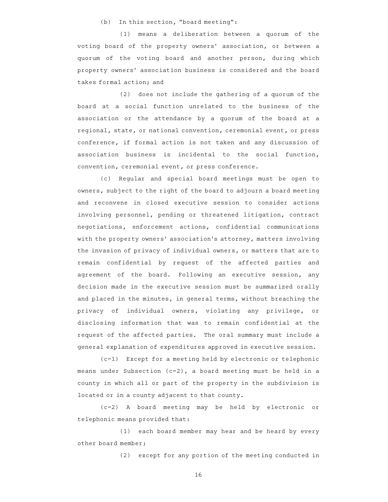(b) In this section, "board meeting":

 $(1)$  means a deliberation between a quorum of the voting board of the property owners' association, or between a quorum of the voting board and another person, during which property owners' association business is considered and the board takes formal action; and

 $(2)$  does not include the gathering of a quorum of the board at a social function unrelated to the business of the association or the attendance by a quorum of the board at a regional, state, or national convention, ceremonial event, or press conference, if formal action is not taken and any discussion of association business is incidental to the social function, convention, ceremonial event, or press conference.

(c) Regular and special board meetings must be open to owners, subject to the right of the board to adjourn a board meeting and reconvene in closed executive session to consider actions involving personnel, pending or threatened litigation, contract negotiations, enforcement actions, confidential communications with the property owners' association's attorney, matters involving the invasion of privacy of individual owners, or matters that are to remain confidential by request of the affected parties and agreement of the board. Following an executive session, any decision made in the executive session must be summarized orally and placed in the minutes, in general terms, without breaching the privacy of individual owners, violating any privilege, or disclosing information that was to remain confidential at the request of the affected parties. The oral summary must include a general explanation of expenditures approved in executive session.

(c-1) Except for a meeting held by electronic or telephonic means under Subsection  $(c-2)$ , a board meeting must be held in a county in which all or part of the property in the subdivision is located or in a county adjacent to that county.

(c-2)AAA board meeting may be held by electronic or telephonic means provided that:

(1) each board member may hear and be heard by every other board member;

(2) except for any portion of the meeting conducted in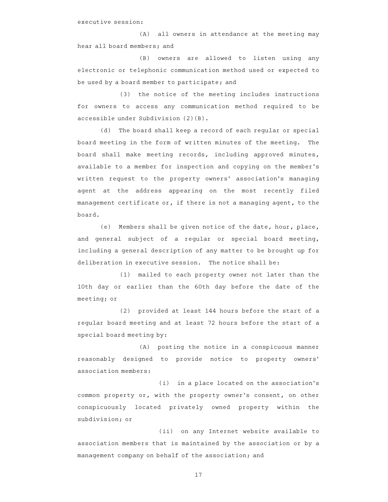executive session:

(A) all owners in attendance at the meeting may hear all board members; and

(B) owners are allowed to listen using any electronic or telephonic communication method used or expected to be used by a board member to participate; and

(3) the notice of the meeting includes instructions for owners to access any communication method required to be accessible under Subdivision (2)(B).

(d) The board shall keep a record of each regular or special board meeting in the form of written minutes of the meeting. The board shall make meeting records, including approved minutes, available to a member for inspection and copying on the member 's written request to the property owners' association's managing agent at the address appearing on the most recently filed management certificate or, if there is not a managing agent, to the board.

(e) Members shall be given notice of the date, hour, place, and general subject of a regular or special board meeting, including a general description of any matter to be brought up for deliberation in executive session. The notice shall be:

(1) mailed to each property owner not later than the 10th day or earlier than the 60th day before the date of the meeting; or

(2) provided at least 144 hours before the start of a regular board meeting and at least 72 hours before the start of a special board meeting by:

(A) posting the notice in a conspicuous manner reasonably designed to provide notice to property owners' association members:

(i) in a place located on the association's common property or, with the property owner 's consent, on other conspicuously located privately owned property within the subdivision; or

(ii) on any Internet website available to association members that is maintained by the association or by a management company on behalf of the association; and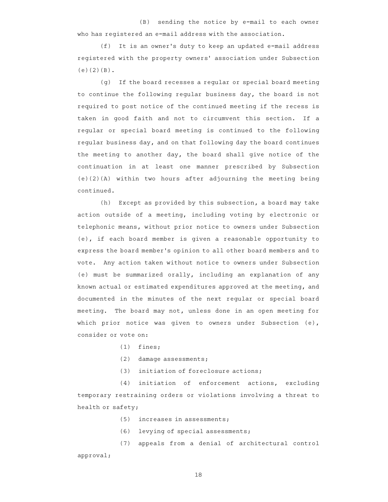$(B)$  sending the notice by e-mail to each owner who has registered an e-mail address with the association.

(f) It is an owner's duty to keep an updated e-mail address registered with the property owners' association under Subsection  $(e)(2)(B)$ .

(g) If the board recesses a regular or special board meeting to continue the following regular business day, the board is not required to post notice of the continued meeting if the recess is taken in good faith and not to circumvent this section. If a regular or special board meeting is continued to the following regular business day, and on that following day the board continues the meeting to another day, the board shall give notice of the continuation in at least one manner prescribed by Subsection (e)(2)(A) within two hours after adjourning the meeting being continued.

(h) Except as provided by this subsection, a board may take action outside of a meeting, including voting by electronic or telephonic means, without prior notice to owners under Subsection (e), if each board member is given a reasonable opportunity to express the board member 's opinion to all other board members and to vote. Any action taken without notice to owners under Subsection (e) must be summarized orally, including an explanation of any known actual or estimated expenditures approved at the meeting, and documented in the minutes of the next regular or special board meeting. The board may not, unless done in an open meeting for which prior notice was given to owners under Subsection (e), consider or vote on:

- $(1)$  fines;
- $(2)$  damage assessments;
- (3) initiation of foreclosure actions;

(4) initiation of enforcement actions, excluding temporary restraining orders or violations involving a threat to health or safety;

 $(5)$  increases in assessments;

(6) levying of special assessments;

(7) appeals from a denial of architectural control approval;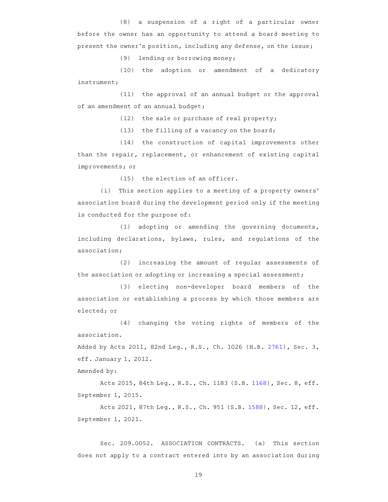$(8)$  a suspension of a right of a particular owner before the owner has an opportunity to attend a board meeting to present the owner 's position, including any defense, on the issue;

(9) lending or borrowing money;

(10) the adoption or amendment of a dedicatory instrument;

 $(11)$  the approval of an annual budget or the approval of an amendment of an annual budget;

 $(12)$  the sale or purchase of real property;

 $(13)$  the filling of a vacancy on the board;

(14) the construction of capital improvements other than the repair, replacement, or enhancement of existing capital improvements; or

 $(15)$  the election of an officer.

(i) This section applies to a meeting of a property owners' association board during the development period only if the meeting is conducted for the purpose of:

 $(1)$  adopting or amending the governing documents, including declarations, bylaws, rules, and regulations of the association;

(2) increasing the amount of regular assessments of the association or adopting or increasing a special assessment;

(3) electing non-developer board members of the association or establishing a process by which those members are elected; or

 $(4)$  changing the voting rights of members of the association.

Added by Acts 2011, 82nd Leg., R.S., Ch. 1026 (H.B. 2761), Sec. 3, eff. January 1, 2012.

Amended by:

Acts 2015, 84th Leg., R.S., Ch. 1183 (S.B. 1168), Sec. 8, eff. September 1, 2015.

Acts 2021, 87th Leg., R.S., Ch. 951 (S.B. 1588), Sec. 12, eff. September 1, 2021.

Sec. 209.0052. ASSOCIATION CONTRACTS. (a) This section does not apply to a contract entered into by an association during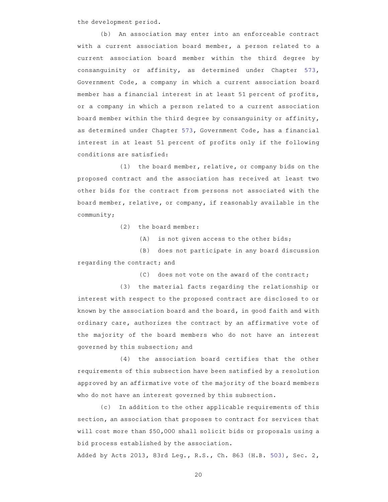the development period.

(b) An association may enter into an enforceable contract with a current association board member, a person related to a current association board member within the third degree by consanguinity or affinity, as determined under Chapter 573, Government Code, a company in which a current association board member has a financial interest in at least 51 percent of profits, or a company in which a person related to a current association board member within the third degree by consanguinity or affinity, as determined under Chapter 573, Government Code, has a financial interest in at least 51 percent of profits only if the following conditions are satisfied:

 $(1)$  the board member, relative, or company bids on the proposed contract and the association has received at least two other bids for the contract from persons not associated with the board member, relative, or company, if reasonably available in the community;

 $(2)$  the board member:

 $(A)$  is not given access to the other bids;

(B) does not participate in any board discussion regarding the contract; and

 $(C)$  does not vote on the award of the contract;

(3) the material facts regarding the relationship or interest with respect to the proposed contract are disclosed to or known by the association board and the board, in good faith and with ordinary care, authorizes the contract by an affirmative vote of the majority of the board members who do not have an interest governed by this subsection; and

 $(4)$  the association board certifies that the other requirements of this subsection have been satisfied by a resolution approved by an affirmative vote of the majority of the board members who do not have an interest governed by this subsection.

(c) In addition to the other applicable requirements of this section, an association that proposes to contract for services that will cost more than \$50,000 shall solicit bids or proposals using a bid process established by the association.

Added by Acts 2013, 83rd Leg., R.S., Ch. 863 (H.B. 503), Sec. 2,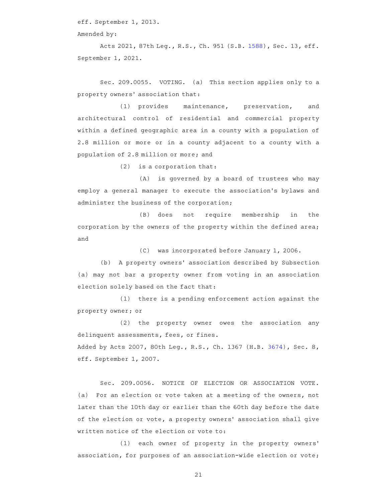eff. September 1, 2013.

Amended by:

Acts 2021, 87th Leg., R.S., Ch. 951 (S.B. 1588), Sec. 13, eff. September 1, 2021.

Sec. 209.0055. VOTING. (a) This section applies only to a property owners' association that:

(1) provides maintenance, preservation, and architectural control of residential and commercial property within a defined geographic area in a county with a population of 2.8 million or more or in a county adjacent to a county with a population of 2.8 million or more; and

 $(2)$  is a corporation that:

(A) is governed by a board of trustees who may employ a general manager to execute the association 's bylaws and administer the business of the corporation;

(B) does not require membership in the corporation by the owners of the property within the defined area; and

(C) was incorporated before January 1, 2006.

(b) A property owners' association described by Subsection (a) may not bar a property owner from voting in an association election solely based on the fact that:

 $(1)$  there is a pending enforcement action against the property owner; or

(2) the property owner owes the association any delinquent assessments, fees, or fines. Added by Acts 2007, 80th Leg., R.S., Ch. 1367 (H.B. 3674), Sec. 8, eff. September 1, 2007.

Sec. 209.0056. NOTICE OF ELECTION OR ASSOCIATION VOTE. (a) For an election or vote taken at a meeting of the owners, not later than the 10th day or earlier than the 60th day before the date of the election or vote, a property owners' association shall give written notice of the election or vote to:

(1) each owner of property in the property owners' association, for purposes of an association-wide election or vote;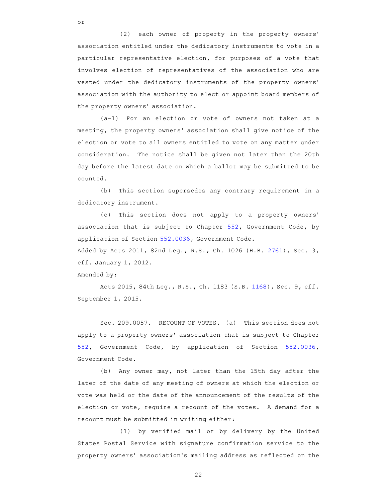(2) each owner of property in the property owners' association entitled under the dedicatory instruments to vote in a particular representative election, for purposes of a vote that involves election of representatives of the association who are vested under the dedicatory instruments of the property owners ' association with the authority to elect or appoint board members of the property owners' association.

 $(a-1)$  For an election or vote of owners not taken at a meeting, the property owners' association shall give notice of the election or vote to all owners entitled to vote on any matter under consideration. The notice shall be given not later than the 20th day before the latest date on which a ballot may be submitted to be counted.

(b) This section supersedes any contrary requirement in a dedicatory instrument.

(c) This section does not apply to a property owners' association that is subject to Chapter 552, Government Code, by application of Section 552.0036, Government Code.

Added by Acts 2011, 82nd Leg., R.S., Ch. 1026 (H.B. 2761), Sec. 3, eff. January 1, 2012.

Amended by:

or

Acts 2015, 84th Leg., R.S., Ch. 1183 (S.B. 1168), Sec. 9, eff. September 1, 2015.

Sec. 209.0057. RECOUNT OF VOTES. (a) This section does not apply to a property owners' association that is subject to Chapter 552, Government Code, by application of Section 552.0036, Government Code.

(b) Any owner may, not later than the 15th day after the later of the date of any meeting of owners at which the election or vote was held or the date of the announcement of the results of the election or vote, require a recount of the votes. A demand for a recount must be submitted in writing either:

(1) by verified mail or by delivery by the United States Postal Service with signature confirmation service to the property owners' association's mailing address as reflected on the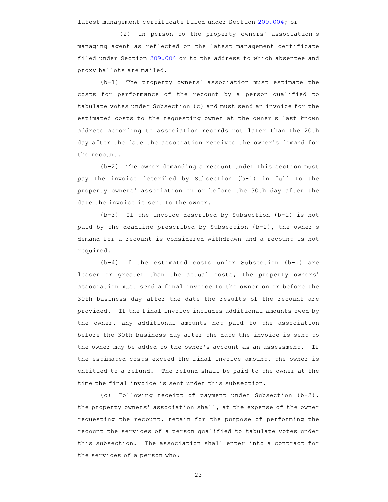latest management certificate filed under Section 209.004; or

(2) in person to the property owners' association's managing agent as reflected on the latest management certificate filed under Section 209.004 or to the address to which absentee and proxy ballots are mailed.

 $(b-1)$  The property owners' association must estimate the costs for performance of the recount by a person qualified to tabulate votes under Subsection (c) and must send an invoice for the estimated costs to the requesting owner at the owner 's last known address according to association records not later than the 20th day after the date the association receives the owner 's demand for the recount.

 $(b-2)$  The owner demanding a recount under this section must pay the invoice described by Subsection (b-1) in full to the property owners' association on or before the 30th day after the date the invoice is sent to the owner.

 $(b-3)$  If the invoice described by Subsection  $(b-1)$  is not paid by the deadline prescribed by Subsection (b-2), the owner 's demand for a recount is considered withdrawn and a recount is not required.

(b-4) If the estimated costs under Subsection (b-1) are lesser or greater than the actual costs, the property owners' association must send a final invoice to the owner on or before the 30th business day after the date the results of the recount are provided. If the final invoice includes additional amounts owed by the owner, any additional amounts not paid to the association before the 30th business day after the date the invoice is sent to the owner may be added to the owner's account as an assessment. If the estimated costs exceed the final invoice amount, the owner is entitled to a refund. The refund shall be paid to the owner at the time the final invoice is sent under this subsection.

(c) Following receipt of payment under Subsection (b-2), the property owners' association shall, at the expense of the owner requesting the recount, retain for the purpose of performing the recount the services of a person qualified to tabulate votes under this subsection. The association shall enter into a contract for the services of a person who: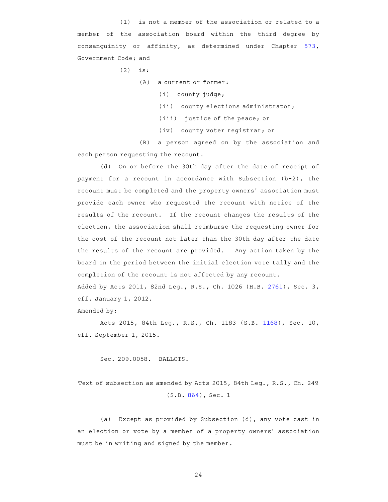$(1)$  is not a member of the association or related to a member of the association board within the third degree by consanguinity or affinity, as determined under Chapter 573, Government Code; and

 $(2)$  is:

 $(A)$  a current or former:

 $(i)$  county judge;

(ii) county elections administrator;

(iii) justice of the peace; or

(iv) county voter registrar; or

(B) a person agreed on by the association and each person requesting the recount.

(d) On or before the 30th day after the date of receipt of payment for a recount in accordance with Subsection (b-2), the recount must be completed and the property owners ' association must provide each owner who requested the recount with notice of the results of the recount. If the recount changes the results of the election, the association shall reimburse the requesting owner for the cost of the recount not later than the 30th day after the date the results of the recount are provided. Any action taken by the board in the period between the initial election vote tally and the completion of the recount is not affected by any recount.

Added by Acts 2011, 82nd Leg., R.S., Ch. 1026 (H.B. 2761), Sec. 3, eff. January 1, 2012.

Amended by:

Acts 2015, 84th Leg., R.S., Ch. 1183 (S.B. 1168), Sec. 10, eff. September 1, 2015.

Sec. 209.0058. BALLOTS.

Text of subsection as amended by Acts 2015, 84th Leg., R.S., Ch. 249 (S.B. 864), Sec. 1

(a) Except as provided by Subsection (d), any vote cast in an election or vote by a member of a property owners' association must be in writing and signed by the member.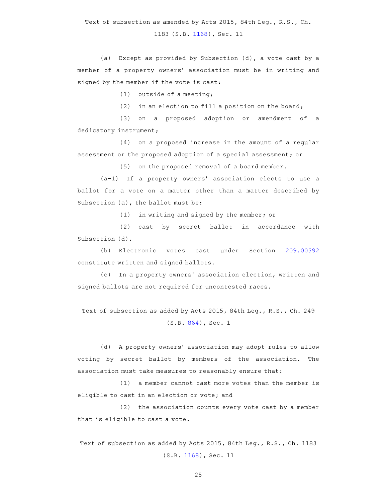Text of subsection as amended by Acts 2015, 84th Leg., R.S., Ch.

1183 (S.B. 1168), Sec. 11

(a) Except as provided by Subsection (d), a vote cast by a member of a property owners' association must be in writing and signed by the member if the vote is cast:

(1) outside of a meeting;

 $(2)$  in an election to fill a position on the board;

(3) on a proposed adoption or amendment of a dedicatory instrument;

 $(4)$  on a proposed increase in the amount of a regular assessment or the proposed adoption of a special assessment; or

 $(5)$  on the proposed removal of a board member.

 $(a-1)$  If a property owners' association elects to use a ballot for a vote on a matter other than a matter described by Subsection (a), the ballot must be:

 $(1)$  in writing and signed by the member; or

(2) cast by secret ballot in accordance with Subsection (d).

(b) Electronic votes cast under Section 209.00592 constitute written and signed ballots.

(c) In a property owners' association election, written and signed ballots are not required for uncontested races.

Text of subsection as added by Acts 2015, 84th Leg., R.S., Ch. 249 (S.B. 864), Sec. 1

(d) A property owners' association may adopt rules to allow voting by secret ballot by members of the association. The association must take measures to reasonably ensure that:

 $(1)$  a member cannot cast more votes than the member is eligible to cast in an election or vote; and

 $(2)$  the association counts every vote cast by a member that is eligible to cast a vote.

Text of subsection as added by Acts 2015, 84th Leg., R.S., Ch. 1183 (S.B. 1168), Sec. 11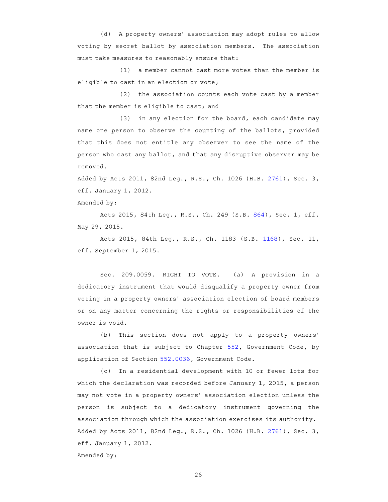(d) A property owners' association may adopt rules to allow voting by secret ballot by association members. The association must take measures to reasonably ensure that:

 $(1)$  a member cannot cast more votes than the member is eligible to cast in an election or vote;

 $(2)$  the association counts each vote cast by a member that the member is eligible to cast; and

 $(3)$  in any election for the board, each candidate may name one person to observe the counting of the ballots, provided that this does not entitle any observer to see the name of the person who cast any ballot, and that any disruptive observer may be removed.

Added by Acts 2011, 82nd Leg., R.S., Ch. 1026 (H.B. 2761), Sec. 3, eff. January 1, 2012.

Amended by:

Acts 2015, 84th Leg., R.S., Ch. 249 (S.B. 864), Sec. 1, eff. May 29, 2015.

Acts 2015, 84th Leg., R.S., Ch. 1183 (S.B. 1168), Sec. 11, eff. September 1, 2015.

Sec. 209.0059. RIGHT TO VOTE. (a) A provision in a dedicatory instrument that would disqualify a property owner from voting in a property owners' association election of board members or on any matter concerning the rights or responsibilities of the owner is void.

(b) This section does not apply to a property owners' association that is subject to Chapter 552, Government Code, by application of Section 552.0036, Government Code.

(c) In a residential development with 10 or fewer lots for which the declaration was recorded before January 1, 2015, a person may not vote in a property owners' association election unless the person is subject to a dedicatory instrument governing the association through which the association exercises its authority. Added by Acts 2011, 82nd Leg., R.S., Ch. 1026 (H.B. 2761), Sec. 3, eff. January 1, 2012. Amended by: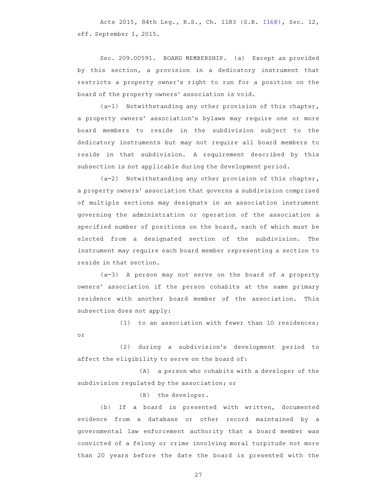Acts 2015, 84th Leg., R.S., Ch. 1183 (S.B. 1168), Sec. 12, eff. September 1, 2015.

Sec. 209.00591. BOARD MEMBERSHIP. (a) Except as provided by this section, a provision in a dedicatory instrument that restricts a property owner 's right to run for a position on the board of the property owners' association is void.

 $(a-1)$  Notwithstanding any other provision of this chapter, a property owners' association's bylaws may require one or more board members to reside in the subdivision subject to the dedicatory instruments but may not require all board members to reside in that subdivision. A requirement described by this subsection is not applicable during the development period.

 $(a-2)$  Notwithstanding any other provision of this chapter, a property owners' association that governs a subdivision comprised of multiple sections may designate in an association instrument governing the administration or operation of the association a specified number of positions on the board, each of which must be elected from a designated section of the subdivision. The instrument may require each board member representing a section to reside in that section.

(a-3) A person may not serve on the board of a property owners' association if the person cohabits at the same primary residence with another board member of the association. This subsection does not apply:

 $(1)$  to an association with fewer than 10 residences; or

(2) during a subdivision's development period to affect the eligibility to serve on the board of:

(A) a person who cohabits with a developer of the subdivision regulated by the association; or

(B) the developer.

(b) If a board is presented with written, documented evidence from a database or other record maintained by a governmental law enforcement authority that a board member was convicted of a felony or crime involving moral turpitude not more than 20 years before the date the board is presented with the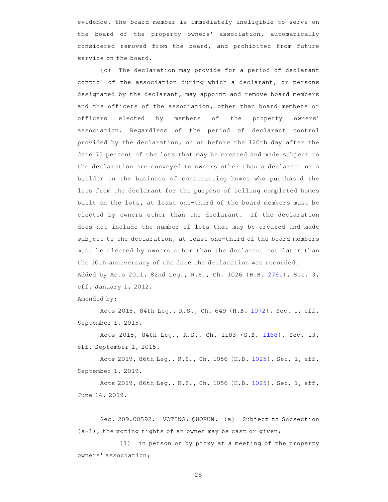evidence, the board member is immediately ineligible to serve on the board of the property owners' association, automatically considered removed from the board, and prohibited from future service on the board.

(c) The declaration may provide for a period of declarant control of the association during which a declarant, or persons designated by the declarant, may appoint and remove board members and the officers of the association, other than board members or officers elected by members of the property owners' association. Regardless of the period of declarant control provided by the declaration, on or before the 120th day after the date 75 percent of the lots that may be created and made subject to the declaration are conveyed to owners other than a declarant or a builder in the business of constructing homes who purchased the lots from the declarant for the purpose of selling completed homes built on the lots, at least one-third of the board members must be elected by owners other than the declarant. If the declaration does not include the number of lots that may be created and made subject to the declaration, at least one-third of the board members must be elected by owners other than the declarant not later than the 10th anniversary of the date the declaration was recorded. Added by Acts 2011, 82nd Leg., R.S., Ch. 1026 (H.B. 2761), Sec. 3, eff. January 1, 2012.

Amended by:

Acts 2015, 84th Leg., R.S., Ch. 649 (H.B. 1072), Sec. 1, eff. September 1, 2015.

Acts 2015, 84th Leg., R.S., Ch. 1183 (S.B. 1168), Sec. 13, eff. September 1, 2015.

Acts 2019, 86th Leg., R.S., Ch. 1056 (H.B. 1025), Sec. 1, eff. September 1, 2019.

Acts 2019, 86th Leg., R.S., Ch. 1056 (H.B. 1025), Sec. 1, eff. June 14, 2019.

Sec. 209.00592. VOTING; QUORUM. (a) Subject to Subsection (a-1), the voting rights of an owner may be cast or given:

 $(1)$  in person or by proxy at a meeting of the property owners' association;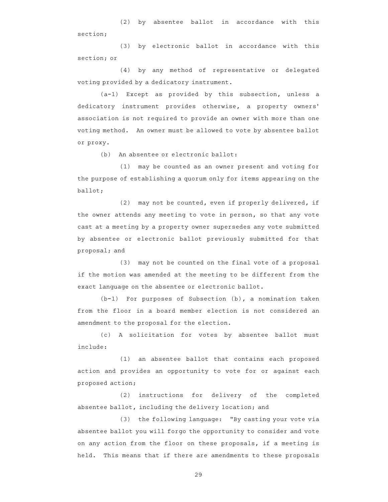(2) by absentee ballot in accordance with this section;

(3) by electronic ballot in accordance with this section; or

(4) by any method of representative or delegated voting provided by a dedicatory instrument.

 $(a-1)$  Except as provided by this subsection, unless a dedicatory instrument provides otherwise, a property owners' association is not required to provide an owner with more than one voting method. An owner must be allowed to vote by absentee ballot or proxy.

(b) An absentee or electronic ballot:

 $(1)$  may be counted as an owner present and voting for the purpose of establishing a quorum only for items appearing on the ballot;

 $(2)$  may not be counted, even if properly delivered, if the owner attends any meeting to vote in person, so that any vote cast at a meeting by a property owner supersedes any vote submitted by absentee or electronic ballot previously submitted for that proposal; and

 $(3)$  may not be counted on the final vote of a proposal if the motion was amended at the meeting to be different from the exact language on the absentee or electronic ballot.

 $(b-1)$  For purposes of Subsection  $(b)$ , a nomination taken from the floor in a board member election is not considered an amendment to the proposal for the election.

(c)AAA solicitation for votes by absentee ballot must include:

(1) an absentee ballot that contains each proposed action and provides an opportunity to vote for or against each proposed action;

(2) instructions for delivery of the completed absentee ballot, including the delivery location; and

(3) the following language: "By casting your vote via absentee ballot you will forgo the opportunity to consider and vote on any action from the floor on these proposals, if a meeting is held. This means that if there are amendments to these proposals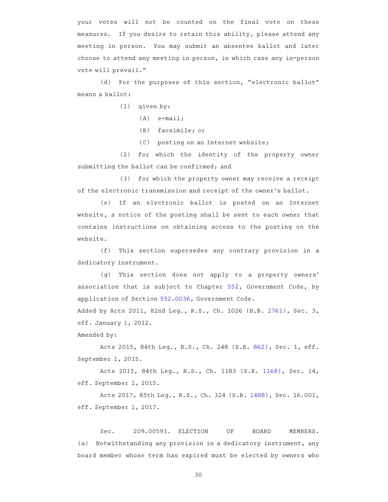your votes will not be counted on the final vote on these measures. If you desire to retain this ability, please attend any meeting in person. You may submit an absentee ballot and later choose to attend any meeting in person, in which case any in-person vote will prevail."

(d) For the purposes of this section, "electronic ballot" means a ballot:

- $(1)$  given by:
	- $(A)$  e-mail;
	- (B) facsimile; or
	- (C) posting on an Internet website;

(2) for which the identity of the property owner submitting the ballot can be confirmed; and

(3) for which the property owner may receive a receipt of the electronic transmission and receipt of the owner 's ballot.

(e) If an electronic ballot is posted on an Internet website, a notice of the posting shall be sent to each owner that contains instructions on obtaining access to the posting on the website.

(f) This section supersedes any contrary provision in a dedicatory instrument.

(g) This section does not apply to a property owners' association that is subject to Chapter 552, Government Code, by application of Section 552.0036, Government Code. Added by Acts 2011, 82nd Leg., R.S., Ch. 1026 (H.B. 2761), Sec. 3, eff. January 1, 2012.

Amended by:

Acts 2015, 84th Leg., R.S., Ch. 248 (S.B. 862), Sec. 1, eff. September 1, 2015.

Acts 2015, 84th Leg., R.S., Ch. 1183 (S.B. 1168), Sec. 14, eff. September 1, 2015.

Acts 2017, 85th Leg., R.S., Ch. 324 (S.B. 1488), Sec. 16.001, eff. September 1, 2017.

Sec. 209.00593. ELECTION OF BOARD MEMBERS. (a) Notwithstanding any provision in a dedicatory instrument, any board member whose term has expired must be elected by owners who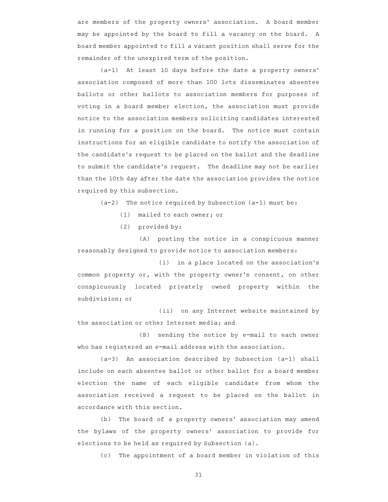are members of the property owners' association. A board member may be appointed by the board to fill a vacancy on the board. A board member appointed to fill a vacant position shall serve for the remainder of the unexpired term of the position.

(a-1) At least 10 days before the date a property owners' association composed of more than 100 lots disseminates absentee ballots or other ballots to association members for purposes of voting in a board member election, the association must provide notice to the association members soliciting candidates interested in running for a position on the board. The notice must contain instructions for an eligible candidate to notify the association of the candidate 's request to be placed on the ballot and the deadline to submit the candidate's request. The deadline may not be earlier than the 10th day after the date the association provides the notice required by this subsection.

 $(a-2)$  The notice required by Subsection  $(a-1)$  must be:

- (1) mailed to each owner; or
- (2) provided by:

(A) posting the notice in a conspicuous manner reasonably designed to provide notice to association members:

 $(i)$  in a place located on the association's common property or, with the property owner 's consent, on other conspicuously located privately owned property within the subdivision; or

(ii) on any Internet website maintained by the association or other Internet media; and

(B) sending the notice by e-mail to each owner who has registered an e-mail address with the association.

 $(a-3)$  An association described by Subsection  $(a-1)$  shall include on each absentee ballot or other ballot for a board member election the name of each eligible candidate from whom the association received a request to be placed on the ballot in accordance with this section.

(b) The board of a property owners' association may amend the bylaws of the property owners' association to provide for elections to be held as required by Subsection (a).

(c) The appointment of a board member in violation of this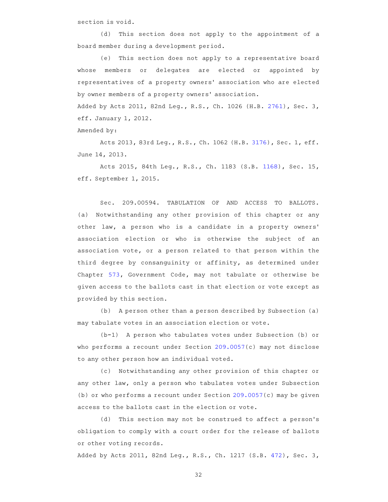section is void.

(d) This section does not apply to the appointment of a board member during a development period.

(e) This section does not apply to a representative board whose members or delegates are elected or appointed by representatives of a property owners' association who are elected by owner members of a property owners' association.

Added by Acts 2011, 82nd Leg., R.S., Ch. 1026 (H.B. 2761), Sec. 3, eff. January 1, 2012.

Amended by:

Acts 2013, 83rd Leg., R.S., Ch. 1062 (H.B. 3176), Sec. 1, eff. June 14, 2013.

Acts 2015, 84th Leg., R.S., Ch. 1183 (S.B. 1168), Sec. 15, eff. September 1, 2015.

Sec. 209.00594. TABULATION OF AND ACCESS TO BALLOTS. (a) Notwithstanding any other provision of this chapter or any other law, a person who is a candidate in a property owners' association election or who is otherwise the subject of an association vote, or a person related to that person within the third degree by consanguinity or affinity, as determined under Chapter 573, Government Code, may not tabulate or otherwise be given access to the ballots cast in that election or vote except as provided by this section.

(b) A person other than a person described by Subsection (a) may tabulate votes in an association election or vote.

(b-1) A person who tabulates votes under Subsection (b) or who performs a recount under Section 209.0057(c) may not disclose to any other person how an individual voted.

(c) Notwithstanding any other provision of this chapter or any other law, only a person who tabulates votes under Subsection (b) or who performs a recount under Section 209.0057(c) may be given access to the ballots cast in the election or vote.

(d) This section may not be construed to affect a person's obligation to comply with a court order for the release of ballots or other voting records.

Added by Acts 2011, 82nd Leg., R.S., Ch. 1217 (S.B. 472), Sec. 3,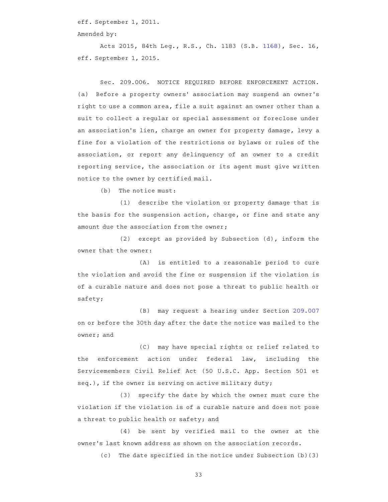eff. September 1, 2011.

Amended by:

Acts 2015, 84th Leg., R.S., Ch. 1183 (S.B. 1168), Sec. 16, eff. September 1, 2015.

Sec. 209.006. NOTICE REQUIRED BEFORE ENFORCEMENT ACTION. (a) Before a property owners' association may suspend an owner's right to use a common area, file a suit against an owner other than a suit to collect a regular or special assessment or foreclose under an association's lien, charge an owner for property damage, levy a fine for a violation of the restrictions or bylaws or rules of the association, or report any delinquency of an owner to a credit reporting service, the association or its agent must give written notice to the owner by certified mail.

 $(b)$  The notice must:

 $(1)$  describe the violation or property damage that is the basis for the suspension action, charge, or fine and state any amount due the association from the owner;

(2) except as provided by Subsection (d), inform the owner that the owner:

 $(A)$  is entitled to a reasonable period to cure the violation and avoid the fine or suspension if the violation is of a curable nature and does not pose a threat to public health or safety;

(B) may request a hearing under Section 209.007 on or before the 30th day after the date the notice was mailed to the owner; and

(C) may have special rights or relief related to the enforcement action under federal law, including the Servicemembers Civil Relief Act (50 U.S.C. App. Section 501 et seq.), if the owner is serving on active military duty;

(3) specify the date by which the owner must cure the violation if the violation is of a curable nature and does not pose a threat to public health or safety; and

(4) be sent by verified mail to the owner at the owner 's last known address as shown on the association records.

 $(c)$  The date specified in the notice under Subsection (b)(3)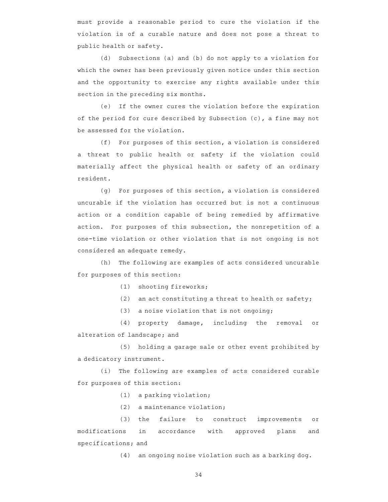must provide a reasonable period to cure the violation if the violation is of a curable nature and does not pose a threat to public health or safety.

(d) Subsections (a) and (b) do not apply to a violation for which the owner has been previously given notice under this section and the opportunity to exercise any rights available under this section in the preceding six months.

(e) If the owner cures the violation before the expiration of the period for cure described by Subsection (c), a fine may not be assessed for the violation.

(f) For purposes of this section, a violation is considered a threat to public health or safety if the violation could materially affect the physical health or safety of an ordinary resident.

 $(g)$  For purposes of this section, a violation is considered uncurable if the violation has occurred but is not a continuous action or a condition capable of being remedied by affirmative action. For purposes of this subsection, the nonrepetition of a one-time violation or other violation that is not ongoing is not considered an adequate remedy.

(h) The following are examples of acts considered uncurable for purposes of this section:

 $(1)$  shooting fireworks;

(2) an act constituting a threat to health or safety;

 $(3)$  a noise violation that is not ongoing;

(4) property damage, including the removal or alteration of landscape; and

(5) holding a garage sale or other event prohibited by a dedicatory instrument.

(i) The following are examples of acts considered curable for purposes of this section:

 $(1)$  a parking violation;

 $(2)$  a maintenance violation;

(3) the failure to construct improvements or modifications in accordance with approved plans and specifications; and

 $(4)$  an ongoing noise violation such as a barking dog.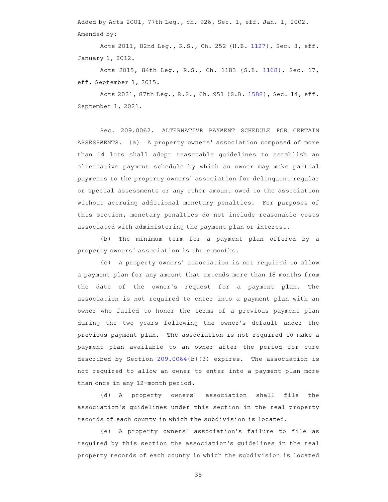Added by Acts 2001, 77th Leg., ch. 926, Sec. 1, eff. Jan. 1, 2002. Amended by:

Acts 2011, 82nd Leg., R.S., Ch. 252 (H.B. 1127), Sec. 3, eff. January 1, 2012.

Acts 2015, 84th Leg., R.S., Ch. 1183 (S.B. 1168), Sec. 17, eff. September 1, 2015.

Acts 2021, 87th Leg., R.S., Ch. 951 (S.B. 1588), Sec. 14, eff. September 1, 2021.

Sec. 209.0062. ALTERNATIVE PAYMENT SCHEDULE FOR CERTAIN ASSESSMENTS. (a) A property owners' association composed of more than 14 lots shall adopt reasonable guidelines to establish an alternative payment schedule by which an owner may make partial payments to the property owners' association for delinquent regular or special assessments or any other amount owed to the association without accruing additional monetary penalties. For purposes of this section, monetary penalties do not include reasonable costs associated with administering the payment plan or interest.

(b) The minimum term for a payment plan offered by a property owners' association is three months.

(c) A property owners' association is not required to allow a payment plan for any amount that extends more than 18 months from the date of the owner's request for a payment plan. The association is not required to enter into a payment plan with an owner who failed to honor the terms of a previous payment plan during the two years following the owner 's default under the previous payment plan. The association is not required to make a payment plan available to an owner after the period for cure described by Section  $209.0064(b)(3)$  expires. The association is not required to allow an owner to enter into a payment plan more than once in any 12-month period.

(d) A property owners' association shall file the association 's guidelines under this section in the real property records of each county in which the subdivision is located.

(e) A property owners' association's failure to file as required by this section the association 's guidelines in the real property records of each county in which the subdivision is located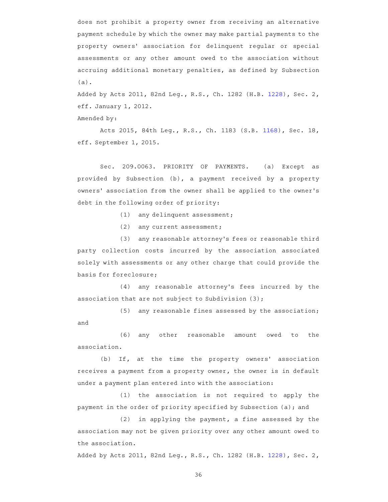does not prohibit a property owner from receiving an alternative payment schedule by which the owner may make partial payments to the property owners' association for delinquent reqular or special assessments or any other amount owed to the association without accruing additional monetary penalties, as defined by Subsection (a).

Added by Acts 2011, 82nd Leg., R.S., Ch. 1282 (H.B. 1228), Sec. 2, eff. January 1, 2012.

Amended by:

Acts 2015, 84th Leg., R.S., Ch. 1183 (S.B. 1168), Sec. 18, eff. September 1, 2015.

Sec. 209.0063. PRIORITY OF PAYMENTS. (a) Except as provided by Subsection (b), a payment received by a property owners' association from the owner shall be applied to the owner's debt in the following order of priority:

(1) any delinquent assessment;

 $(2)$  any current assessment;

(3) any reasonable attorney's fees or reasonable third party collection costs incurred by the association associated solely with assessments or any other charge that could provide the basis for foreclosure;

 $(4)$  any reasonable attorney's fees incurred by the association that are not subject to Subdivision (3);

 $(5)$  any reasonable fines assessed by the association; and

(6) any other reasonable amount owed to the association.

(b) If, at the time the property owners' association receives a payment from a property owner, the owner is in default under a payment plan entered into with the association:

 $(1)$  the association is not required to apply the payment in the order of priority specified by Subsection (a); and

 $(2)$  in applying the payment, a fine assessed by the association may not be given priority over any other amount owed to the association.

Added by Acts 2011, 82nd Leg., R.S., Ch. 1282 (H.B. 1228), Sec. 2,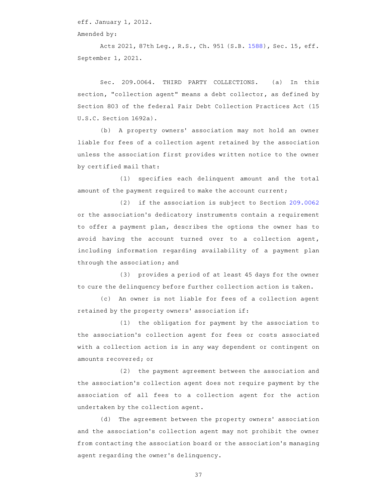eff. January 1, 2012.

Amended by:

Acts 2021, 87th Leg., R.S., Ch. 951 (S.B. 1588), Sec. 15, eff. September 1, 2021.

Sec. 209.0064. THIRD PARTY COLLECTIONS. (a) In this section, "collection agent" means a debt collector, as defined by Section 803 of the federal Fair Debt Collection Practices Act (15 U.S.C. Section 1692a).

(b) A property owners' association may not hold an owner liable for fees of a collection agent retained by the association unless the association first provides written notice to the owner by certified mail that:

(1) specifies each delinquent amount and the total amount of the payment required to make the account current;

 $(2)$  if the association is subject to Section 209.0062 or the association 's dedicatory instruments contain a requirement to offer a payment plan, describes the options the owner has to avoid having the account turned over to a collection agent, including information regarding availability of a payment plan through the association; and

(3) provides a period of at least 45 days for the owner to cure the delinquency before further collection action is taken.

(c) An owner is not liable for fees of a collection agent retained by the property owners' association if:

 $(1)$  the obligation for payment by the association to the association's collection agent for fees or costs associated with a collection action is in any way dependent or contingent on amounts recovered; or

(2) the payment agreement between the association and the association 's collection agent does not require payment by the association of all fees to a collection agent for the action undertaken by the collection agent.

(d) The agreement between the property owners' association and the association 's collection agent may not prohibit the owner from contacting the association board or the association 's managing agent regarding the owner 's delinquency.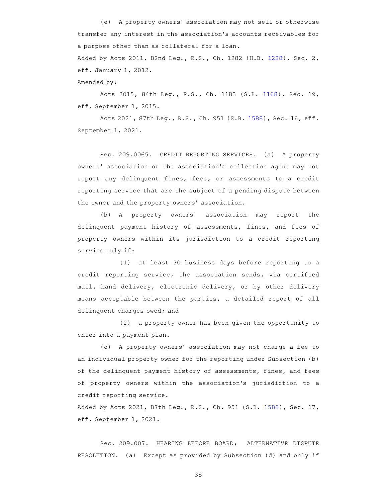(e) A property owners' association may not sell or otherwise transfer any interest in the association 's accounts receivables for a purpose other than as collateral for a loan. Added by Acts 2011, 82nd Leg., R.S., Ch. 1282 (H.B. 1228), Sec. 2, eff. January 1, 2012. Amended by:

Acts 2015, 84th Leg., R.S., Ch. 1183 (S.B. 1168), Sec. 19, eff. September 1, 2015.

Acts 2021, 87th Leg., R.S., Ch. 951 (S.B. 1588), Sec. 16, eff. September 1, 2021.

Sec. 209.0065. CREDIT REPORTING SERVICES. (a) A property owners' association or the association's collection agent may not report any delinquent fines, fees, or assessments to a credit reporting service that are the subject of a pending dispute between the owner and the property owners' association.

(b) A property owners' association may report the delinquent payment history of assessments, fines, and fees of property owners within its jurisdiction to a credit reporting service only if:

 $(1)$  at least 30 business days before reporting to a credit reporting service, the association sends, via certified mail, hand delivery, electronic delivery, or by other delivery means acceptable between the parties, a detailed report of all delinquent charges owed; and

 $(2)$  a property owner has been given the opportunity to enter into a payment plan.

(c) A property owners' association may not charge a fee to an individual property owner for the reporting under Subsection (b) of the delinquent payment history of assessments, fines, and fees of property owners within the association 's jurisdiction to a credit reporting service.

Added by Acts 2021, 87th Leg., R.S., Ch. 951 (S.B. 1588), Sec. 17, eff. September 1, 2021.

Sec. 209.007. HEARING BEFORE BOARD; ALTERNATIVE DISPUTE RESOLUTION. (a) Except as provided by Subsection (d) and only if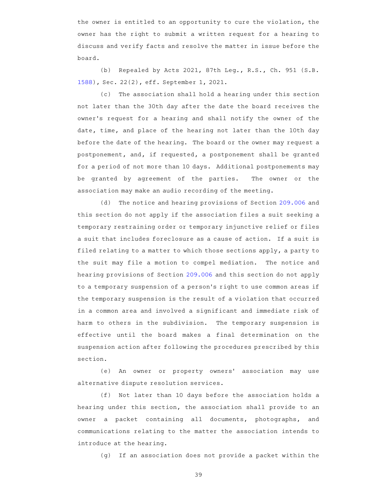the owner is entitled to an opportunity to cure the violation, the owner has the right to submit a written request for a hearing to discuss and verify facts and resolve the matter in issue before the board.

(b) Repealed by Acts 2021, 87th Leg., R.S., Ch. 951 (S.B. 1588), Sec. 22(2), eff. September 1, 2021.

(c) The association shall hold a hearing under this section not later than the 30th day after the date the board receives the owner 's request for a hearing and shall notify the owner of the date, time, and place of the hearing not later than the 10th day before the date of the hearing. The board or the owner may request a postponement, and, if requested, a postponement shall be granted for a period of not more than 10 days. Additional postponements may be granted by agreement of the parties. The owner or the association may make an audio recording of the meeting.

(d) The notice and hearing provisions of Section 209.006 and this section do not apply if the association files a suit seeking a temporary restraining order or temporary injunctive relief or files a suit that includes foreclosure as a cause of action. If a suit is filed relating to a matter to which those sections apply, a party to the suit may file a motion to compel mediation. The notice and hearing provisions of Section 209.006 and this section do not apply to a temporary suspension of a person 's right to use common areas if the temporary suspension is the result of a violation that occurred in a common area and involved a significant and immediate risk of harm to others in the subdivision. The temporary suspension is effective until the board makes a final determination on the suspension action after following the procedures prescribed by this section.

(e) An owner or property owners' association may use alternative dispute resolution services.

(f) Not later than 10 days before the association holds a hearing under this section, the association shall provide to an owner a packet containing all documents, photographs, and communications relating to the matter the association intends to introduce at the hearing.

(g) If an association does not provide a packet within the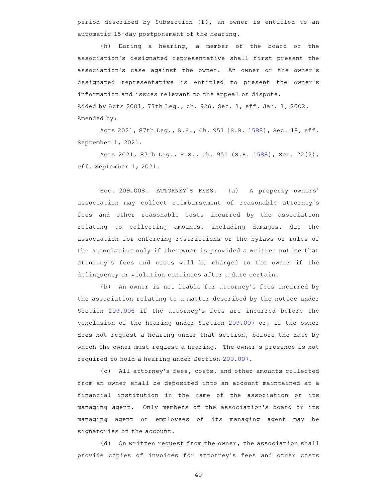period described by Subsection (f), an owner is entitled to an automatic 15-day postponement of the hearing.

 $(h)$  During a hearing, a member of the board or the association 's designated representative shall first present the association's case against the owner. An owner or the owner's designated representative is entitled to present the owner 's information and issues relevant to the appeal or dispute. Added by Acts 2001, 77th Leg., ch. 926, Sec. 1, eff. Jan. 1, 2002. Amended by:

Acts 2021, 87th Leg., R.S., Ch. 951 (S.B. 1588), Sec. 18, eff. September 1, 2021.

Acts 2021, 87th Leg., R.S., Ch. 951 (S.B. 1588), Sec. 22(2), eff. September 1, 2021.

Sec. 209.008. ATTORNEY'S FEES. (a) A property owners' association may collect reimbursement of reasonable attorney 's fees and other reasonable costs incurred by the association relating to collecting amounts, including damages, due the association for enforcing restrictions or the bylaws or rules of the association only if the owner is provided a written notice that attorney's fees and costs will be charged to the owner if the delinquency or violation continues after a date certain.

(b) An owner is not liable for attorney's fees incurred by the association relating to a matter described by the notice under Section 209.006 if the attorney's fees are incurred before the conclusion of the hearing under Section 209.007 or, if the owner does not request a hearing under that section, before the date by which the owner must request a hearing. The owner 's presence is not required to hold a hearing under Section 209.007.

(c) All attorney's fees, costs, and other amounts collected from an owner shall be deposited into an account maintained at a financial institution in the name of the association or its managing agent. Only members of the association 's board or its managing agent or employees of its managing agent may be signatories on the account.

(d) On written request from the owner, the association shall provide copies of invoices for attorney's fees and other costs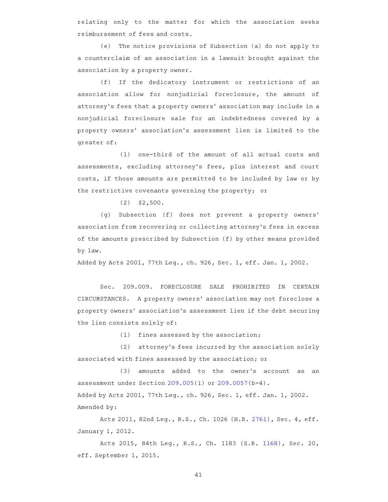relating only to the matter for which the association seeks reimbursement of fees and costs.

(e) The notice provisions of Subsection (a) do not apply to a counterclaim of an association in a lawsuit brought against the association by a property owner.

(f) If the dedicatory instrument or restrictions of an association allow for nonjudicial foreclosure, the amount of attorney 's fees that a property owners ' association may include in a nonjudicial foreclosure sale for an indebtedness covered by a property owners' association's assessment lien is limited to the greater of:

(1) one-third of the amount of all actual costs and assessments, excluding attorney's fees, plus interest and court costs, if those amounts are permitted to be included by law or by the restrictive covenants governing the property; or

 $(2)$  \$2,500.

(g) Subsection (f) does not prevent a property owners' association from recovering or collecting attorney 's fees in excess of the amounts prescribed by Subsection (f) by other means provided by law.

Added by Acts 2001, 77th Leg., ch. 926, Sec. 1, eff. Jan. 1, 2002.

Sec. 209.009. FORECLOSURE SALE PROHIBITED IN CERTAIN CIRCUMSTANCES. A property owners' association may not foreclose a property owners ' association 's assessment lien if the debt securing the lien consists solely of:

 $(1)$  fines assessed by the association;

(2) attorney's fees incurred by the association solely associated with fines assessed by the association; or

(3) amounts added to the owner's account as an assessment under Section 209.005(i) or 209.0057(b-4). Added by Acts 2001, 77th Leg., ch. 926, Sec. 1, eff. Jan. 1, 2002. Amended by:

Acts 2011, 82nd Leg., R.S., Ch. 1026 (H.B. 2761), Sec. 4, eff. January 1, 2012.

Acts 2015, 84th Leg., R.S., Ch. 1183 (S.B. 1168), Sec. 20, eff. September 1, 2015.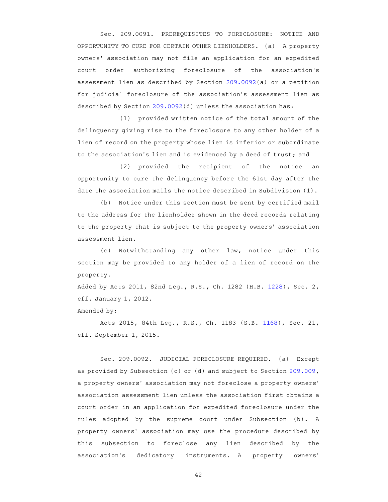Sec. 209.0091. PREREQUISITES TO FORECLOSURE: NOTICE AND OPPORTUNITY TO CURE FOR CERTAIN OTHER LIENHOLDERS. (a) A property owners' association may not file an application for an expedited court order authorizing foreclosure of the association's assessment lien as described by Section 209.0092(a) or a petition for judicial foreclosure of the association's assessment lien as described by Section 209.0092(d) unless the association has:

(1) provided written notice of the total amount of the delinquency giving rise to the foreclosure to any other holder of a lien of record on the property whose lien is inferior or subordinate to the association's lien and is evidenced by a deed of trust; and

(2) provided the recipient of the notice an opportunity to cure the delinquency before the 61st day after the date the association mails the notice described in Subdivision (1).

(b) Notice under this section must be sent by certified mail to the address for the lienholder shown in the deed records relating to the property that is subject to the property owners' association assessment lien.

(c) Notwithstanding any other law, notice under this section may be provided to any holder of a lien of record on the property.

Added by Acts 2011, 82nd Leg., R.S., Ch. 1282 (H.B. 1228), Sec. 2, eff. January 1, 2012.

Amended by:

Acts 2015, 84th Leg., R.S., Ch. 1183 (S.B. 1168), Sec. 21, eff. September 1, 2015.

Sec. 209.0092. JUDICIAL FORECLOSURE REQUIRED. (a) Except as provided by Subsection (c) or (d) and subject to Section 209.009, a property owners' association may not foreclose a property owners' association assessment lien unless the association first obtains a court order in an application for expedited foreclosure under the rules adopted by the supreme court under Subsection (b). A property owners' association may use the procedure described by this subsection to foreclose any lien described by the association's dedicatory instruments. A property owners'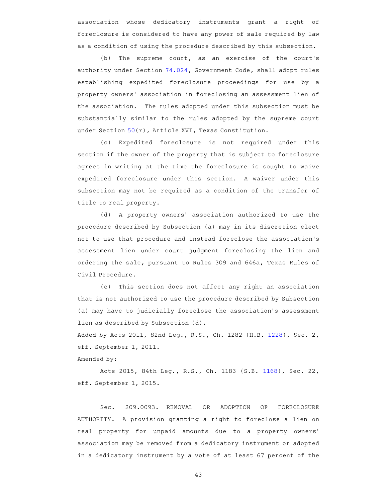association whose dedicatory instruments grant a right of foreclosure is considered to have any power of sale required by law as a condition of using the procedure described by this subsection.

(b) The supreme court, as an exercise of the court's authority under Section 74.024, Government Code, shall adopt rules establishing expedited foreclosure proceedings for use by a property owners' association in foreclosing an assessment lien of the association. The rules adopted under this subsection must be substantially similar to the rules adopted by the supreme court under Section 50(r), Article XVI, Texas Constitution.

(c) Expedited foreclosure is not required under this section if the owner of the property that is subject to foreclosure agrees in writing at the time the foreclosure is sought to waive expedited foreclosure under this section. A waiver under this subsection may not be required as a condition of the transfer of title to real property.

(d) A property owners' association authorized to use the procedure described by Subsection (a) may in its discretion elect not to use that procedure and instead foreclose the association 's assessment lien under court judgment foreclosing the lien and ordering the sale, pursuant to Rules 309 and 646a, Texas Rules of Civil Procedure.

(e) This section does not affect any right an association that is not authorized to use the procedure described by Subsection (a) may have to judicially foreclose the association 's assessment lien as described by Subsection (d).

Added by Acts 2011, 82nd Leg., R.S., Ch. 1282 (H.B. 1228), Sec. 2, eff. September 1, 2011. Amended by:

Acts 2015, 84th Leg., R.S., Ch. 1183 (S.B. 1168), Sec. 22, eff. September 1, 2015.

Sec. 209.0093. REMOVAL OR ADOPTION OF FORECLOSURE AUTHORITY. A provision granting a right to foreclose a lien on real property for unpaid amounts due to a property owners' association may be removed from a dedicatory instrument or adopted in a dedicatory instrument by a vote of at least 67 percent of the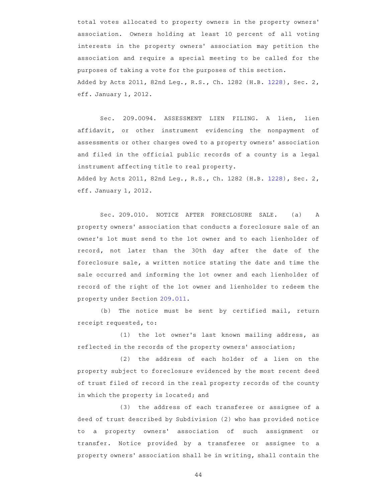total votes allocated to property owners in the property owners ' association. Owners holding at least 10 percent of all voting interests in the property owners' association may petition the association and require a special meeting to be called for the purposes of taking a vote for the purposes of this section. Added by Acts 2011, 82nd Leg., R.S., Ch. 1282 (H.B. 1228), Sec. 2, eff. January 1, 2012.

Sec. 209.0094. ASSESSMENT LIEN FILING. A lien, lien affidavit, or other instrument evidencing the nonpayment of assessments or other charges owed to a property owners' association and filed in the official public records of a county is a legal instrument affecting title to real property. Added by Acts 2011, 82nd Leg., R.S., Ch. 1282 (H.B. 1228), Sec. 2,

eff. January 1, 2012.

Sec. 209.010. NOTICE AFTER FORECLOSURE SALE. (a) A property owners' association that conducts a foreclosure sale of an owner 's lot must send to the lot owner and to each lienholder of record, not later than the 30th day after the date of the foreclosure sale, a written notice stating the date and time the sale occurred and informing the lot owner and each lienholder of record of the right of the lot owner and lienholder to redeem the property under Section 209.011.

 $(b)$  The notice must be sent by certified mail, return receipt requested, to:

(1) the lot owner's last known mailing address, as reflected in the records of the property owners' association;

(2) the address of each holder of a lien on the property subject to foreclosure evidenced by the most recent deed of trust filed of record in the real property records of the county in which the property is located; and

(3) the address of each transferee or assignee of a deed of trust described by Subdivision (2) who has provided notice to a property owners' association of such assignment or transfer. Notice provided by a transferee or assignee to a property owners' association shall be in writing, shall contain the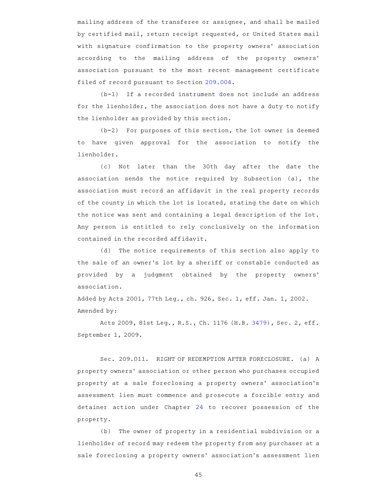mailing address of the transferee or assignee, and shall be mailed by certified mail, return receipt requested, or United States mail with signature confirmation to the property owners' association according to the mailing address of the property owners' association pursuant to the most recent management certificate filed of record pursuant to Section 209.004.

 $(b-1)$  If a recorded instrument does not include an address for the lienholder, the association does not have a duty to notify the lienholder as provided by this section.

 $(b-2)$  For purposes of this section, the lot owner is deemed to have given approval for the association to notify the lienholder.

(c) Not later than the 30th day after the date the association sends the notice required by Subsection (a), the association must record an affidavit in the real property records of the county in which the lot is located, stating the date on which the notice was sent and containing a legal description of the lot. Any person is entitled to rely conclusively on the information contained in the recorded affidavit.

(d) The notice requirements of this section also apply to the sale of an owner 's lot by a sheriff or constable conducted as provided by a judgment obtained by the property owners' association.

Added by Acts 2001, 77th Leg., ch. 926, Sec. 1, eff. Jan. 1, 2002. Amended by:

Acts 2009, 81st Leg., R.S., Ch. 1176 (H.B. 3479), Sec. 2, eff. September 1, 2009.

Sec. 209.011. RIGHT OF REDEMPTION AFTER FORECLOSURE. (a) A property owners ' association or other person who purchases occupied property at a sale foreclosing a property owners' association's assessment lien must commence and prosecute a forcible entry and detainer action under Chapter 24 to recover possession of the property.

(b) The owner of property in a residential subdivision or a lienholder of record may redeem the property from any purchaser at a sale foreclosing a property owners' association's assessment lien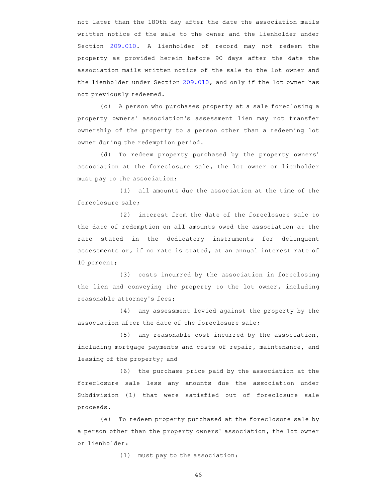not later than the 180th day after the date the association mails written notice of the sale to the owner and the lienholder under Section 209.010. A lienholder of record may not redeem the property as provided herein before 90 days after the date the association mails written notice of the sale to the lot owner and the lienholder under Section 209.010, and only if the lot owner has not previously redeemed.

(c) A person who purchases property at a sale foreclosing a property owners' association's assessment lien may not transfer ownership of the property to a person other than a redeeming lot owner during the redemption period.

(d) To redeem property purchased by the property owners' association at the foreclosure sale, the lot owner or lienholder must pay to the association:

 $(1)$  all amounts due the association at the time of the foreclosure sale;

(2) interest from the date of the foreclosure sale to the date of redemption on all amounts owed the association at the rate stated in the dedicatory instruments for delinquent assessments or, if no rate is stated, at an annual interest rate of 10 percent;

(3) costs incurred by the association in foreclosing the lien and conveying the property to the lot owner, including reasonable attorney 's fees;

(4) any assessment levied against the property by the association after the date of the foreclosure sale;

 $(5)$  any reasonable cost incurred by the association, including mortgage payments and costs of repair, maintenance, and leasing of the property; and

(6) the purchase price paid by the association at the foreclosure sale less any amounts due the association under Subdivision (1) that were satisfied out of foreclosure sale proceeds.

(e) To redeem property purchased at the foreclosure sale by a person other than the property owners' association, the lot owner or lienholder:

 $(1)$  must pay to the association: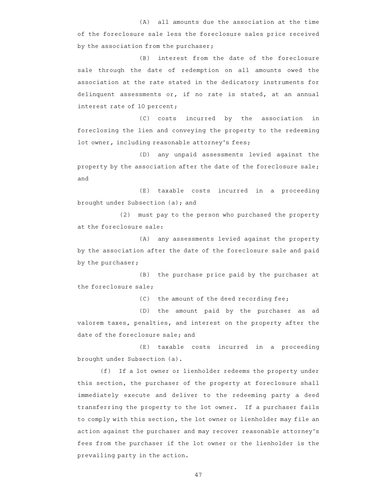$(A)$  all amounts due the association at the time of the foreclosure sale less the foreclosure sales price received by the association from the purchaser;

(B) interest from the date of the foreclosure sale through the date of redemption on all amounts owed the association at the rate stated in the dedicatory instruments for delinquent assessments or, if no rate is stated, at an annual interest rate of 10 percent;

(C) costs incurred by the association in foreclosing the lien and conveying the property to the redeeming lot owner, including reasonable attorney's fees;

(D) any unpaid assessments levied against the property by the association after the date of the foreclosure sale; and

(E) taxable costs incurred in a proceeding brought under Subsection (a); and

(2) must pay to the person who purchased the property at the foreclosure sale:

(A) any assessments levied against the property by the association after the date of the foreclosure sale and paid by the purchaser;

 $(B)$  the purchase price paid by the purchaser at the foreclosure sale;

 $(C)$  the amount of the deed recording fee;

(D) the amount paid by the purchaser as ad valorem taxes, penalties, and interest on the property after the date of the foreclosure sale; and

(E) taxable costs incurred in a proceeding brought under Subsection (a).

(f) If a lot owner or lienholder redeems the property under this section, the purchaser of the property at foreclosure shall immediately execute and deliver to the redeeming party a deed transferring the property to the lot owner. If a purchaser fails to comply with this section, the lot owner or lienholder may file an action against the purchaser and may recover reasonable attorney 's fees from the purchaser if the lot owner or the lienholder is the prevailing party in the action.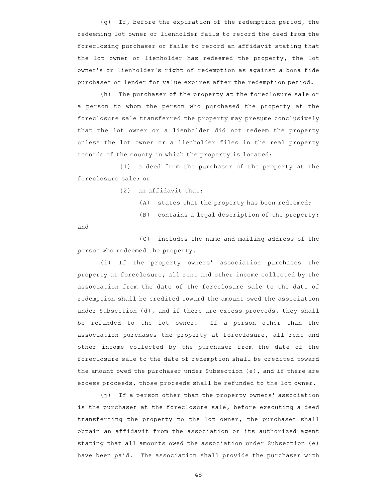$(q)$  If, before the expiration of the redemption period, the redeeming lot owner or lienholder fails to record the deed from the foreclosing purchaser or fails to record an affidavit stating that the lot owner or lienholder has redeemed the property, the lot owner 's or lienholder 's right of redemption as against a bona fide purchaser or lender for value expires after the redemption period.

(h) The purchaser of the property at the foreclosure sale or a person to whom the person who purchased the property at the foreclosure sale transferred the property may presume conclusively that the lot owner or a lienholder did not redeem the property unless the lot owner or a lienholder files in the real property records of the county in which the property is located:

(1) a deed from the purchaser of the property at the foreclosure sale; or

 $(2)$  an affidavit that:

- $(A)$  states that the property has been redeemed;
- $(B)$  contains a legal description of the property;

and

(C) includes the name and mailing address of the person who redeemed the property.

(i) If the property owners' association purchases the property at foreclosure, all rent and other income collected by the association from the date of the foreclosure sale to the date of redemption shall be credited toward the amount owed the association under Subsection (d), and if there are excess proceeds, they shall be refunded to the lot owner. If a person other than the association purchases the property at foreclosure, all rent and other income collected by the purchaser from the date of the foreclosure sale to the date of redemption shall be credited toward the amount owed the purchaser under Subsection (e), and if there are excess proceeds, those proceeds shall be refunded to the lot owner.

 $(j)$  If a person other than the property owners' association is the purchaser at the foreclosure sale, before executing a deed transferring the property to the lot owner, the purchaser shall obtain an affidavit from the association or its authorized agent stating that all amounts owed the association under Subsection (e) have been paid. The association shall provide the purchaser with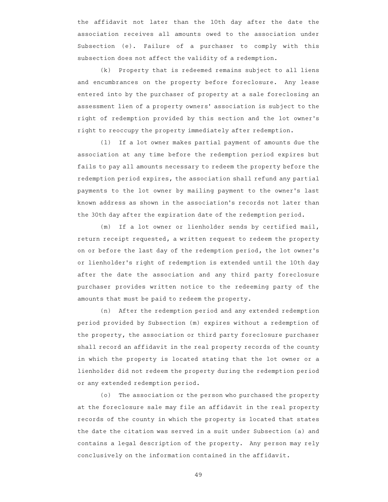the affidavit not later than the 10th day after the date the association receives all amounts owed to the association under Subsection (e). Failure of a purchaser to comply with this subsection does not affect the validity of a redemption.

 $(k)$  Property that is redeemed remains subject to all liens and encumbrances on the property before foreclosure. Any lease entered into by the purchaser of property at a sale foreclosing an assessment lien of a property owners' association is subject to the right of redemption provided by this section and the lot owner 's right to reoccupy the property immediately after redemption.

(1) If a lot owner makes partial payment of amounts due the association at any time before the redemption period expires but fails to pay all amounts necessary to redeem the property before the redemption period expires, the association shall refund any partial payments to the lot owner by mailing payment to the owner 's last known address as shown in the association 's records not later than the 30th day after the expiration date of the redemption period.

(m) If a lot owner or lienholder sends by certified mail, return receipt requested, a written request to redeem the property on or before the last day of the redemption period, the lot owner 's or lienholder 's right of redemption is extended until the 10th day after the date the association and any third party foreclosure purchaser provides written notice to the redeeming party of the amounts that must be paid to redeem the property.

(n) After the redemption period and any extended redemption period provided by Subsection (m) expires without a redemption of the property, the association or third party foreclosure purchaser shall record an affidavit in the real property records of the county in which the property is located stating that the lot owner or a lienholder did not redeem the property during the redemption period or any extended redemption period.

(o) The association or the person who purchased the property at the foreclosure sale may file an affidavit in the real property records of the county in which the property is located that states the date the citation was served in a suit under Subsection (a) and contains a legal description of the property. Any person may rely conclusively on the information contained in the affidavit.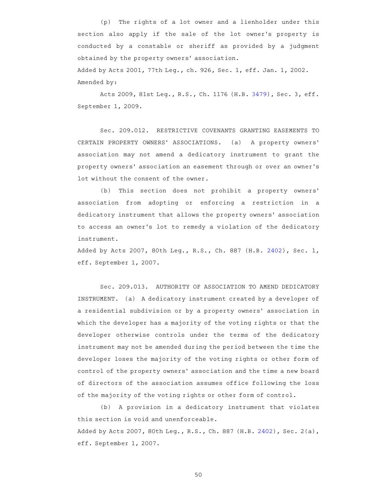(p) The rights of a lot owner and a lienholder under this section also apply if the sale of the lot owner 's property is conducted by a constable or sheriff as provided by a judgment obtained by the property owners' association. Added by Acts 2001, 77th Leg., ch. 926, Sec. 1, eff. Jan. 1, 2002. Amended by:

Acts 2009, 81st Leg., R.S., Ch. 1176 (H.B. 3479), Sec. 3, eff. September 1, 2009.

Sec. 209.012. RESTRICTIVE COVENANTS GRANTING EASEMENTS TO CERTAIN PROPERTY OWNERS' ASSOCIATIONS. (a) A property owners' association may not amend a dedicatory instrument to grant the property owners' association an easement through or over an owner's lot without the consent of the owner.

(b) This section does not prohibit a property owners' association from adopting or enforcing a restriction in a dedicatory instrument that allows the property owners' association to access an owner 's lot to remedy a violation of the dedicatory instrument.

Added by Acts 2007, 80th Leg., R.S., Ch. 887 (H.B. 2402), Sec. 1, eff. September 1, 2007.

Sec. 209.013. AUTHORITY OF ASSOCIATION TO AMEND DEDICATORY INSTRUMENT. (a) A dedicatory instrument created by a developer of a residential subdivision or by a property owners' association in which the developer has a majority of the voting rights or that the developer otherwise controls under the terms of the dedicatory instrument may not be amended during the period between the time the developer loses the majority of the voting rights or other form of control of the property owners' association and the time a new board of directors of the association assumes office following the loss of the majority of the voting rights or other form of control.

(b) A provision in a dedicatory instrument that violates this section is void and unenforceable. Added by Acts 2007, 80th Leg., R.S., Ch. 887 (H.B. 2402), Sec. 2(a), eff. September 1, 2007.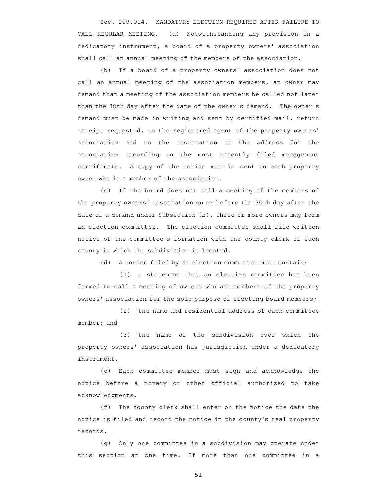Sec. 209.014. MANDATORY ELECTION REQUIRED AFTER FAILURE TO CALL REGULAR MEETING. (a) Notwithstanding any provision in a dedicatory instrument, a board of a property owners' association shall call an annual meeting of the members of the association.

(b) If a board of a property owners' association does not call an annual meeting of the association members, an owner may demand that a meeting of the association members be called not later than the 30th day after the date of the owner's demand. The owner's demand must be made in writing and sent by certified mail, return receipt requested, to the registered agent of the property owners ' association and to the association at the address for the association according to the most recently filed management certificate. A copy of the notice must be sent to each property owner who is a member of the association.

(c) If the board does not call a meeting of the members of the property owners' association on or before the 30th day after the date of a demand under Subsection (b), three or more owners may form an election committee. The election committee shall file written notice of the committee 's formation with the county clerk of each county in which the subdivision is located.

(d) A notice filed by an election committee must contain:

(1) a statement that an election committee has been formed to call a meeting of owners who are members of the property owners' association for the sole purpose of electing board members;

(2) the name and residential address of each committee member; and

(3) the name of the subdivision over which the property owners' association has jurisdiction under a dedicatory instrument.

(e) Each committee member must sign and acknowledge the notice before a notary or other official authorized to take acknowledgments.

(f) The county clerk shall enter on the notice the date the notice is filed and record the notice in the county 's real property records.

(g) Only one committee in a subdivision may operate under this section at one time. If more than one committee in a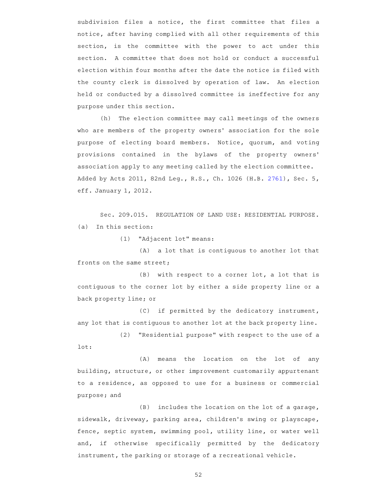subdivision files a notice, the first committee that files a notice, after having complied with all other requirements of this section, is the committee with the power to act under this section. A committee that does not hold or conduct a successful election within four months after the date the notice is filed with the county clerk is dissolved by operation of law. An election held or conducted by a dissolved committee is ineffective for any purpose under this section.

(h) The election committee may call meetings of the owners who are members of the property owners' association for the sole purpose of electing board members. Notice, quorum, and voting provisions contained in the bylaws of the property owners' association apply to any meeting called by the election committee. Added by Acts 2011, 82nd Leg., R.S., Ch. 1026 (H.B. 2761), Sec. 5, eff. January 1, 2012.

Sec. 209.015. REGULATION OF LAND USE: RESIDENTIAL PURPOSE.  $(a)$  In this section:

(1) "Adjacent lot" means:

(A) a lot that is contiguous to another lot that fronts on the same street;

 $(B)$  with respect to a corner lot, a lot that is contiguous to the corner lot by either a side property line or a back property line; or

(C) if permitted by the dedicatory instrument, any lot that is contiguous to another lot at the back property line.

(2) "Residential purpose" with respect to the use of a lot:

(A) means the location on the lot of any building, structure, or other improvement customarily appurtenant to a residence, as opposed to use for a business or commercial purpose; and

 $(B)$  includes the location on the lot of a garage, sidewalk, driveway, parking area, children's swing or playscape, fence, septic system, swimming pool, utility line, or water well and, if otherwise specifically permitted by the dedicatory instrument, the parking or storage of a recreational vehicle.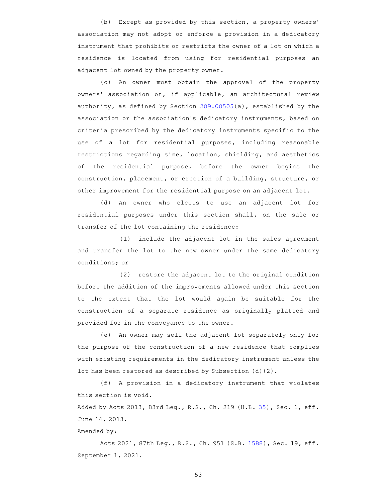(b) Except as provided by this section, a property owners' association may not adopt or enforce a provision in a dedicatory instrument that prohibits or restricts the owner of a lot on which a residence is located from using for residential purposes an adjacent lot owned by the property owner.

(c) An owner must obtain the approval of the property owners' association or, if applicable, an architectural review authority, as defined by Section 209.00505(a), established by the association or the association 's dedicatory instruments, based on criteria prescribed by the dedicatory instruments specific to the use of a lot for residential purposes, including reasonable restrictions regarding size, location, shielding, and aesthetics of the residential purpose, before the owner begins the construction, placement, or erection of a building, structure, or other improvement for the residential purpose on an adjacent lot.

(d) An owner who elects to use an adjacent lot for residential purposes under this section shall, on the sale or transfer of the lot containing the residence:

 $(1)$  include the adjacent lot in the sales agreement and transfer the lot to the new owner under the same dedicatory conditions; or

(2) restore the adjacent lot to the original condition before the addition of the improvements allowed under this section to the extent that the lot would again be suitable for the construction of a separate residence as originally platted and provided for in the conveyance to the owner.

(e) An owner may sell the adjacent lot separately only for the purpose of the construction of a new residence that complies with existing requirements in the dedicatory instrument unless the lot has been restored as described by Subsection (d)(2).

(f) A provision in a dedicatory instrument that violates this section is void.

Added by Acts 2013, 83rd Leg., R.S., Ch. 219 (H.B. 35), Sec. 1, eff. June 14, 2013.

Amended by:

Acts 2021, 87th Leg., R.S., Ch. 951 (S.B. 1588), Sec. 19, eff. September 1, 2021.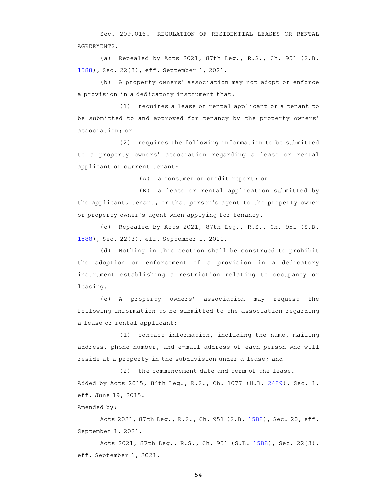Sec. 209.016. REGULATION OF RESIDENTIAL LEASES OR RENTAL AGREEMENTS.

(a) Repealed by Acts 2021, 87th Leg., R.S., Ch. 951 (S.B. 1588), Sec. 22(3), eff. September 1, 2021.

(b) A property owners' association may not adopt or enforce a provision in a dedicatory instrument that:

(1) requires a lease or rental applicant or a tenant to be submitted to and approved for tenancy by the property owners ' association; or

(2) requires the following information to be submitted to a property owners' association regarding a lease or rental applicant or current tenant:

(A) a consumer or credit report; or

(B) a lease or rental application submitted by the applicant, tenant, or that person 's agent to the property owner or property owner 's agent when applying for tenancy.

(c) Repealed by Acts 2021, 87th Leg., R.S., Ch. 951 (S.B. 1588), Sec. 22(3), eff. September 1, 2021.

(d) Nothing in this section shall be construed to prohibit the adoption or enforcement of a provision in a dedicatory instrument establishing a restriction relating to occupancy or leasing.

(e) A property owners' association may request the following information to be submitted to the association regarding a lease or rental applicant:

(1) contact information, including the name, mailing address, phone number, and e-mail address of each person who will reside at a property in the subdivision under a lease; and

(2) the commencement date and term of the lease. Added by Acts 2015, 84th Leg., R.S., Ch. 1077 (H.B. 2489), Sec. 1, eff. June 19, 2015.

Amended by:

Acts 2021, 87th Leg., R.S., Ch. 951 (S.B. 1588), Sec. 20, eff. September 1, 2021.

Acts 2021, 87th Leg., R.S., Ch. 951 (S.B. 1588), Sec. 22(3), eff. September 1, 2021.